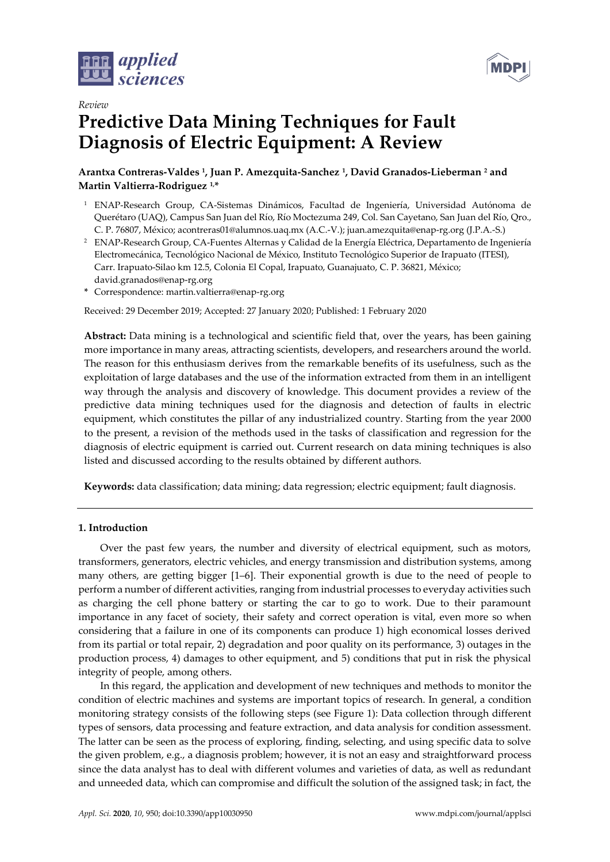



#### *Review*

# **Predictive Data Mining Techniques for Fault Diagnosis of Electric Equipment: A Review**

# **Arantxa Contreras-Valdes <sup>1</sup> , Juan P. Amezquita-Sanchez <sup>1</sup> , David Granados-Lieberman <sup>2</sup> and Martin Valtierra-Rodriguez 1,\***

- <sup>1</sup> ENAP-Research Group, CA-Sistemas Dinámicos, Facultad de Ingeniería, Universidad Autónoma de Querétaro (UAQ), Campus San Juan del Río, Río Moctezuma 249, Col. San Cayetano, San Juan del Río, Qro., C. P. 76807, México; acontreras01@alumnos.uaq.mx (A.C.-V.); juan.amezquita@enap-rg.org (J.P.A.-S.)
- <sup>2</sup> ENAP-Research Group, CA-Fuentes Alternas y Calidad de la Energía Eléctrica, Departamento de Ingeniería Electromecánica, Tecnológico Nacional de México, Instituto Tecnológico Superior de Irapuato (ITESI), Carr. Irapuato-Silao km 12.5, Colonia El Copal, Irapuato, Guanajuato, C. P. 36821, México; david.granados@enap-rg.org
- **\*** Correspondence: martin.valtierra@enap-rg.org

Received: 29 December 2019; Accepted: 27 January 2020; Published: 1 February 2020

**Abstract:** Data mining is a technological and scientific field that, over the years, has been gaining more importance in many areas, attracting scientists, developers, and researchers around the world. The reason for this enthusiasm derives from the remarkable benefits of its usefulness, such as the exploitation of large databases and the use of the information extracted from them in an intelligent way through the analysis and discovery of knowledge. This document provides a review of the predictive data mining techniques used for the diagnosis and detection of faults in electric equipment, which constitutes the pillar of any industrialized country. Starting from the year 2000 to the present, a revision of the methods used in the tasks of classification and regression for the diagnosis of electric equipment is carried out. Current research on data mining techniques is also listed and discussed according to the results obtained by different authors.

**Keywords:** data classification; data mining; data regression; electric equipment; fault diagnosis.

## **1. Introduction**

Over the past few years, the number and diversity of electrical equipment, such as motors, transformers, generators, electric vehicles, and energy transmission and distribution systems, among many others, are getting bigger [1–6]. Their exponential growth is due to the need of people to perform a number of different activities, ranging from industrial processes to everyday activities such as charging the cell phone battery or starting the car to go to work. Due to their paramount importance in any facet of society, their safety and correct operation is vital, even more so when considering that a failure in one of its components can produce 1) high economical losses derived from its partial or total repair, 2) degradation and poor quality on its performance, 3) outages in the production process, 4) damages to other equipment, and 5) conditions that put in risk the physical integrity of people, among others.

In this regard, the application and development of new techniques and methods to monitor the condition of electric machines and systems are important topics of research. In general, a condition monitoring strategy consists of the following steps (see Figure 1): Data collection through different types of sensors, data processing and feature extraction, and data analysis for condition assessment. The latter can be seen as the process of exploring, finding, selecting, and using specific data to solve the given problem, e.g., a diagnosis problem; however, it is not an easy and straightforward process since the data analyst has to deal with different volumes and varieties of data, as well as redundant and unneeded data, which can compromise and difficult the solution of the assigned task; in fact, the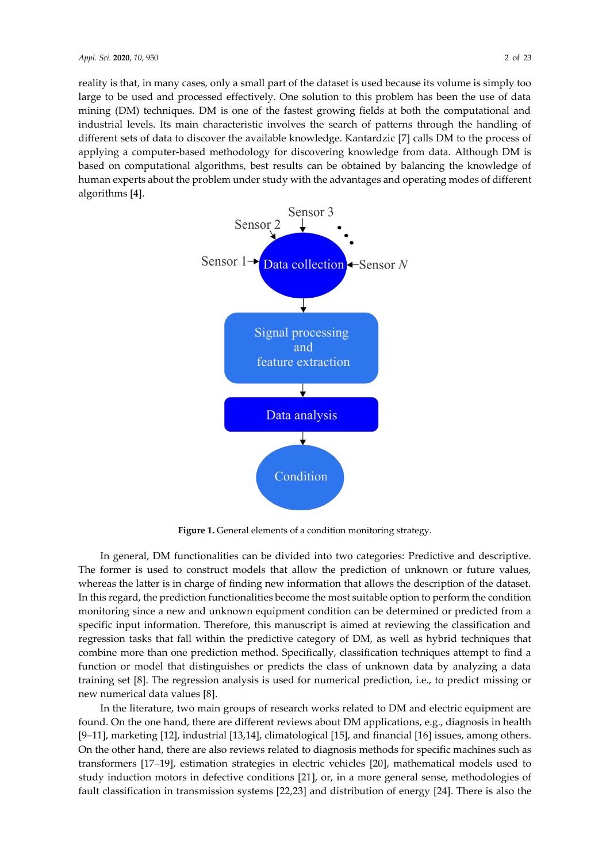algorithms [4].

reality is that, in many cases, only a small part of the dataset is used because its volume is simply too large to be used and processed effectively. One solution to this problem has been the use of data mining (DM) techniques. DM is one of the fastest growing fields at both the computational and industrial levels. Its main characteristic involves the search of patterns through the handling of different sets of data to discover the available knowledge. Kantardzic [7] calls DM to the process of applying a computer-based methodology for discovering knowledge from data. Although DM is based on computational algorithms, best results can be obtained by balancing the knowledge of human experts about the problem under study with the advantages and operating modes of different



**Figure 1.** General elements of a condition monitoring strategy.

In general, DM functionalities can be divided into two categories: Predictive and descriptive. The former is used to construct models that allow the prediction of unknown or future values, whereas the latter is in charge of finding new information that allows the description of the dataset. In this regard, the prediction functionalities become the most suitable option to perform the condition monitoring since a new and unknown equipment condition can be determined or predicted from a specific input information. Therefore, this manuscript is aimed at reviewing the classification and regression tasks that fall within the predictive category of DM, as well as hybrid techniques that combine more than one prediction method. Specifically, classification techniques attempt to find a function or model that distinguishes or predicts the class of unknown data by analyzing a data training set [8]. The regression analysis is used for numerical prediction, i.e., to predict missing or new numerical data values [8].

In the literature, two main groups of research works related to DM and electric equipment are found. On the one hand, there are different reviews about DM applications, e.g., diagnosis in health [9–11], marketing [12], industrial [13,14], climatological [15], and financial [16] issues, among others. On the other hand, there are also reviews related to diagnosis methods for specific machines such as transformers [17–19], estimation strategies in electric vehicles [20], mathematical models used to study induction motors in defective conditions [21], or, in a more general sense, methodologies of fault classification in transmission systems [22,23] and distribution of energy [24]. There is also the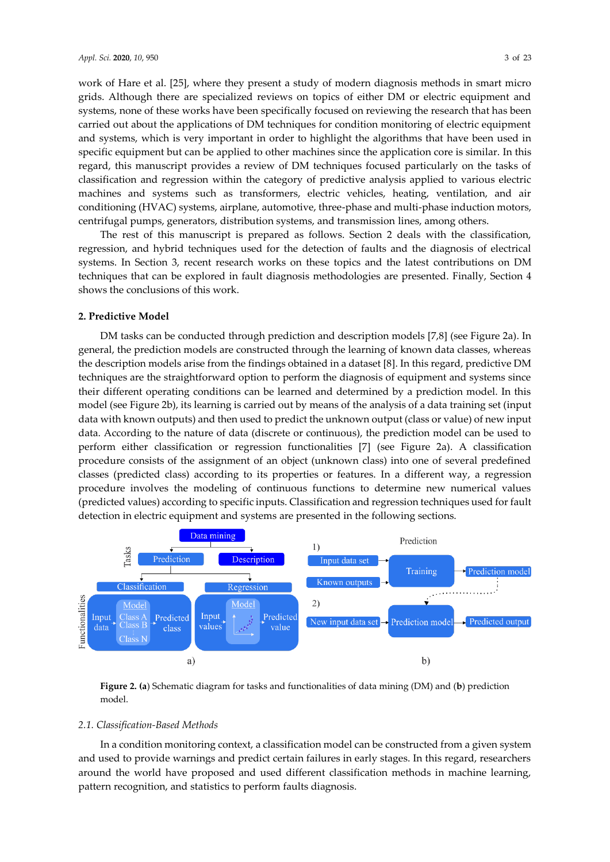work of Hare et al. [25], where they present a study of modern diagnosis methods in smart micro grids. Although there are specialized reviews on topics of either DM or electric equipment and systems, none of these works have been specifically focused on reviewing the research that has been carried out about the applications of DM techniques for condition monitoring of electric equipment and systems, which is very important in order to highlight the algorithms that have been used in specific equipment but can be applied to other machines since the application core is similar. In this regard, this manuscript provides a review of DM techniques focused particularly on the tasks of classification and regression within the category of predictive analysis applied to various electric machines and systems such as transformers, electric vehicles, heating, ventilation, and air conditioning (HVAC) systems, airplane, automotive, three-phase and multi-phase induction motors, centrifugal pumps, generators, distribution systems, and transmission lines, among others.

The rest of this manuscript is prepared as follows. Section 2 deals with the classification, regression, and hybrid techniques used for the detection of faults and the diagnosis of electrical systems. In Section 3, recent research works on these topics and the latest contributions on DM techniques that can be explored in fault diagnosis methodologies are presented. Finally, Section 4 shows the conclusions of this work.

#### **2. Predictive Model**

DM tasks can be conducted through prediction and description models [7,8] (see Figure 2a). In general, the prediction models are constructed through the learning of known data classes, whereas the description models arise from the findings obtained in a dataset [8]. In this regard, predictive DM techniques are the straightforward option to perform the diagnosis of equipment and systems since their different operating conditions can be learned and determined by a prediction model. In this model (see Figure 2b), its learning is carried out by means of the analysis of a data training set (input data with known outputs) and then used to predict the unknown output (class or value) of new input data. According to the nature of data (discrete or continuous), the prediction model can be used to perform either classification or regression functionalities [7] (see Figure 2a). A classification procedure consists of the assignment of an object (unknown class) into one of several predefined classes (predicted class) according to its properties or features. In a different way, a regression procedure involves the modeling of continuous functions to determine new numerical values (predicted values) according to specific inputs. Classification and regression techniques used for fault detection in electric equipment and systems are presented in the following sections.



**Figure 2. (a**) Schematic diagram for tasks and functionalities of data mining (DM) and (**b**) prediction model.

#### *2.1. Classification-Based Methods*

In a condition monitoring context, a classification model can be constructed from a given system and used to provide warnings and predict certain failures in early stages. In this regard, researchers around the world have proposed and used different classification methods in machine learning, pattern recognition, and statistics to perform faults diagnosis.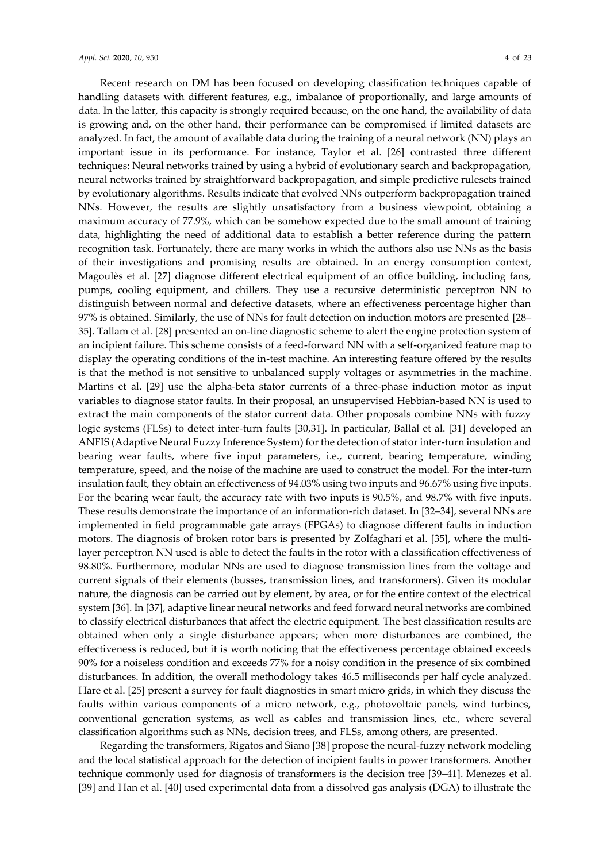Recent research on DM has been focused on developing classification techniques capable of handling datasets with different features, e.g., imbalance of proportionally, and large amounts of data. In the latter, this capacity is strongly required because, on the one hand, the availability of data is growing and, on the other hand, their performance can be compromised if limited datasets are analyzed. In fact, the amount of available data during the training of a neural network (NN) plays an important issue in its performance. For instance, Taylor et al. [26] contrasted three different techniques: Neural networks trained by using a hybrid of evolutionary search and backpropagation, neural networks trained by straightforward backpropagation, and simple predictive rulesets trained by evolutionary algorithms. Results indicate that evolved NNs outperform backpropagation trained NNs. However, the results are slightly unsatisfactory from a business viewpoint, obtaining a maximum accuracy of 77.9%, which can be somehow expected due to the small amount of training data, highlighting the need of additional data to establish a better reference during the pattern recognition task. Fortunately, there are many works in which the authors also use NNs as the basis of their investigations and promising results are obtained. In an energy consumption context, Magoulès et al. [27] diagnose different electrical equipment of an office building, including fans, pumps, cooling equipment, and chillers. They use a recursive deterministic perceptron NN to distinguish between normal and defective datasets, where an effectiveness percentage higher than 97% is obtained. Similarly, the use of NNs for fault detection on induction motors are presented [28– 35]. Tallam et al. [28] presented an on-line diagnostic scheme to alert the engine protection system of an incipient failure. This scheme consists of a feed-forward NN with a self-organized feature map to display the operating conditions of the in-test machine. An interesting feature offered by the results is that the method is not sensitive to unbalanced supply voltages or asymmetries in the machine. Martins et al. [29] use the alpha-beta stator currents of a three-phase induction motor as input variables to diagnose stator faults. In their proposal, an unsupervised Hebbian-based NN is used to extract the main components of the stator current data. Other proposals combine NNs with fuzzy logic systems (FLSs) to detect inter-turn faults [30,31]. In particular, Ballal et al. [31] developed an ANFIS (Adaptive Neural Fuzzy Inference System) for the detection of stator inter-turn insulation and bearing wear faults, where five input parameters, i.e., current, bearing temperature, winding temperature, speed, and the noise of the machine are used to construct the model. For the inter-turn insulation fault, they obtain an effectiveness of 94.03% using two inputs and 96.67% using five inputs. For the bearing wear fault, the accuracy rate with two inputs is 90.5%, and 98.7% with five inputs. These results demonstrate the importance of an information-rich dataset. In [32–34], several NNs are implemented in field programmable gate arrays (FPGAs) to diagnose different faults in induction motors. The diagnosis of broken rotor bars is presented by Zolfaghari et al. [35], where the multilayer perceptron NN used is able to detect the faults in the rotor with a classification effectiveness of 98.80%. Furthermore, modular NNs are used to diagnose transmission lines from the voltage and current signals of their elements (busses, transmission lines, and transformers). Given its modular nature, the diagnosis can be carried out by element, by area, or for the entire context of the electrical system [36]. In [37], adaptive linear neural networks and feed forward neural networks are combined to classify electrical disturbances that affect the electric equipment. The best classification results are obtained when only a single disturbance appears; when more disturbances are combined, the effectiveness is reduced, but it is worth noticing that the effectiveness percentage obtained exceeds 90% for a noiseless condition and exceeds 77% for a noisy condition in the presence of six combined disturbances. In addition, the overall methodology takes 46.5 milliseconds per half cycle analyzed. Hare et al. [25] present a survey for fault diagnostics in smart micro grids, in which they discuss the faults within various components of a micro network, e.g., photovoltaic panels, wind turbines, conventional generation systems, as well as cables and transmission lines, etc., where several classification algorithms such as NNs, decision trees, and FLSs, among others, are presented.

Regarding the transformers, Rigatos and Siano [38] propose the neural-fuzzy network modeling and the local statistical approach for the detection of incipient faults in power transformers. Another technique commonly used for diagnosis of transformers is the decision tree [39–41]. Menezes et al. [39] and Han et al. [40] used experimental data from a dissolved gas analysis (DGA) to illustrate the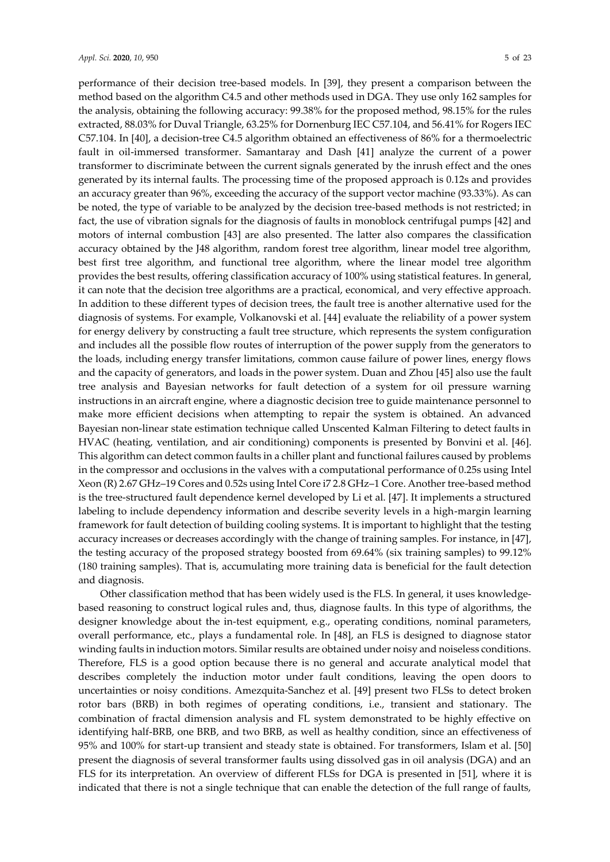performance of their decision tree-based models. In [39], they present a comparison between the method based on the algorithm C4.5 and other methods used in DGA. They use only 162 samples for the analysis, obtaining the following accuracy: 99.38% for the proposed method, 98.15% for the rules extracted, 88.03% for Duval Triangle, 63.25% for Dornenburg IEC C57.104, and 56.41% for Rogers IEC C57.104. In [40], a decision-tree C4.5 algorithm obtained an effectiveness of 86% for a thermoelectric fault in oil-immersed transformer. Samantaray and Dash [41] analyze the current of a power transformer to discriminate between the current signals generated by the inrush effect and the ones generated by its internal faults. The processing time of the proposed approach is 0.12s and provides an accuracy greater than 96%, exceeding the accuracy of the support vector machine (93.33%). As can be noted, the type of variable to be analyzed by the decision tree-based methods is not restricted; in fact, the use of vibration signals for the diagnosis of faults in monoblock centrifugal pumps [42] and motors of internal combustion [43] are also presented. The latter also compares the classification accuracy obtained by the J48 algorithm, random forest tree algorithm, linear model tree algorithm, best first tree algorithm, and functional tree algorithm, where the linear model tree algorithm provides the best results, offering classification accuracy of 100% using statistical features. In general, it can note that the decision tree algorithms are a practical, economical, and very effective approach. In addition to these different types of decision trees, the fault tree is another alternative used for the diagnosis of systems. For example, Volkanovski et al. [44] evaluate the reliability of a power system for energy delivery by constructing a fault tree structure, which represents the system configuration and includes all the possible flow routes of interruption of the power supply from the generators to the loads, including energy transfer limitations, common cause failure of power lines, energy flows and the capacity of generators, and loads in the power system. Duan and Zhou [45] also use the fault tree analysis and Bayesian networks for fault detection of a system for oil pressure warning instructions in an aircraft engine, where a diagnostic decision tree to guide maintenance personnel to make more efficient decisions when attempting to repair the system is obtained. An advanced Bayesian non-linear state estimation technique called Unscented Kalman Filtering to detect faults in HVAC (heating, ventilation, and air conditioning) components is presented by Bonvini et al. [46]. This algorithm can detect common faults in a chiller plant and functional failures caused by problems in the compressor and occlusions in the valves with a computational performance of 0.25s using Intel Xeon (R) 2.67 GHz–19 Cores and 0.52s using Intel Core i7 2.8 GHz–1 Core. Another tree-based method is the tree-structured fault dependence kernel developed by Li et al. [47]. It implements a structured labeling to include dependency information and describe severity levels in a high-margin learning framework for fault detection of building cooling systems. It is important to highlight that the testing accuracy increases or decreases accordingly with the change of training samples. For instance, in [47], the testing accuracy of the proposed strategy boosted from 69.64% (six training samples) to 99.12% (180 training samples). That is, accumulating more training data is beneficial for the fault detection and diagnosis.

Other classification method that has been widely used is the FLS. In general, it uses knowledgebased reasoning to construct logical rules and, thus, diagnose faults. In this type of algorithms, the designer knowledge about the in-test equipment, e.g., operating conditions, nominal parameters, overall performance, etc., plays a fundamental role. In [48], an FLS is designed to diagnose stator winding faults in induction motors. Similar results are obtained under noisy and noiseless conditions. Therefore, FLS is a good option because there is no general and accurate analytical model that describes completely the induction motor under fault conditions, leaving the open doors to uncertainties or noisy conditions. Amezquita-Sanchez et al. [49] present two FLSs to detect broken rotor bars (BRB) in both regimes of operating conditions, i.e., transient and stationary. The combination of fractal dimension analysis and FL system demonstrated to be highly effective on identifying half-BRB, one BRB, and two BRB, as well as healthy condition, since an effectiveness of 95% and 100% for start-up transient and steady state is obtained. For transformers, Islam et al. [50] present the diagnosis of several transformer faults using dissolved gas in oil analysis (DGA) and an FLS for its interpretation. An overview of different FLSs for DGA is presented in [51], where it is indicated that there is not a single technique that can enable the detection of the full range of faults,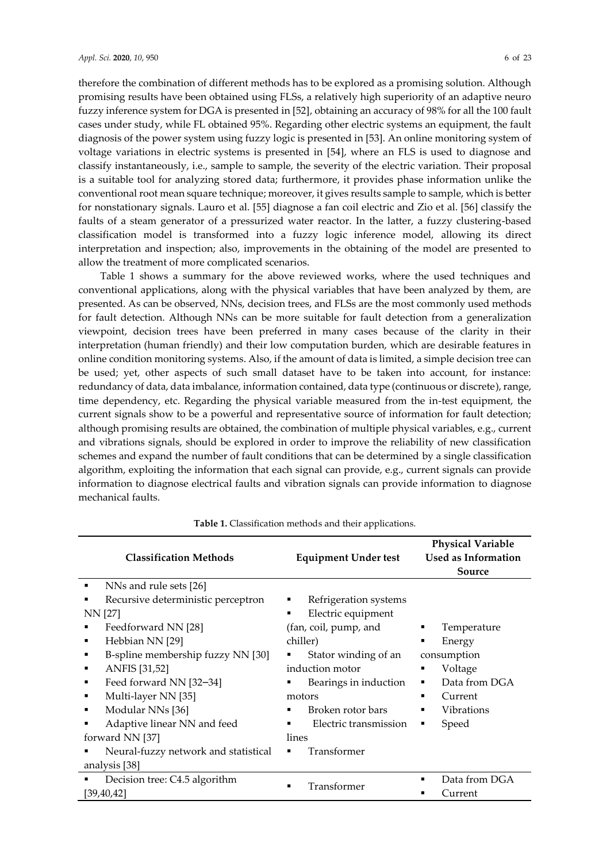therefore the combination of different methods has to be explored as a promising solution. Although promising results have been obtained using FLSs, a relatively high superiority of an adaptive neuro fuzzy inference system for DGA is presented in [52], obtaining an accuracy of 98% for all the 100 fault cases under study, while FL obtained 95%. Regarding other electric systems an equipment, the fault diagnosis of the power system using fuzzy logic is presented in [53]. An online monitoring system of voltage variations in electric systems is presented in [54], where an FLS is used to diagnose and classify instantaneously, i.e., sample to sample, the severity of the electric variation. Their proposal is a suitable tool for analyzing stored data; furthermore, it provides phase information unlike the conventional root mean square technique; moreover, it gives results sample to sample, which is better for nonstationary signals. Lauro et al. [55] diagnose a fan coil electric and Zio et al. [56] classify the faults of a steam generator of a pressurized water reactor. In the latter, a fuzzy clustering-based classification model is transformed into a fuzzy logic inference model, allowing its direct interpretation and inspection; also, improvements in the obtaining of the model are presented to allow the treatment of more complicated scenarios.

Table 1 shows a summary for the above reviewed works, where the used techniques and conventional applications, along with the physical variables that have been analyzed by them, are presented. As can be observed, NNs, decision trees, and FLSs are the most commonly used methods for fault detection. Although NNs can be more suitable for fault detection from a generalization viewpoint, decision trees have been preferred in many cases because of the clarity in their interpretation (human friendly) and their low computation burden, which are desirable features in online condition monitoring systems. Also, if the amount of data is limited, a simple decision tree can be used; yet, other aspects of such small dataset have to be taken into account, for instance: redundancy of data, data imbalance, information contained, data type (continuous or discrete), range, time dependency, etc. Regarding the physical variable measured from the in-test equipment, the current signals show to be a powerful and representative source of information for fault detection; although promising results are obtained, the combination of multiple physical variables, e.g., current and vibrations signals, should be explored in order to improve the reliability of new classification schemes and expand the number of fault conditions that can be determined by a single classification algorithm, exploiting the information that each signal can provide, e.g., current signals can provide information to diagnose electrical faults and vibration signals can provide information to diagnose mechanical faults.

| <b>Classification Methods</b>                                                                                                                                                                                                                                                                                                                                      | <b>Equipment Under test</b>                                                                                                                                                                                                               | <b>Physical Variable</b><br><b>Used as Information</b><br>Source                                                                        |
|--------------------------------------------------------------------------------------------------------------------------------------------------------------------------------------------------------------------------------------------------------------------------------------------------------------------------------------------------------------------|-------------------------------------------------------------------------------------------------------------------------------------------------------------------------------------------------------------------------------------------|-----------------------------------------------------------------------------------------------------------------------------------------|
| NNs and rule sets [26]<br>٠<br>Recursive deterministic perceptron<br>NN [27]<br>Feedforward NN [28]<br>Hebbian NN [29]<br>٠<br>B-spline membership fuzzy NN [30]<br>ANFIS [31,52]<br>Feed forward NN [32-34]<br>Multi-layer NN [35]<br>Modular NNs [36]<br>Adaptive linear NN and feed<br>forward NN [37]<br>Neural-fuzzy network and statistical<br>analysis [38] | Refrigeration systems<br>Electric equipment<br>(fan, coil, pump, and<br>chiller)<br>Stator winding of an<br>٠<br>induction motor<br>Bearings in induction<br>motors<br>Broken rotor bars<br>Electric transmission<br>lines<br>Transformer | Temperature<br>Energy<br>п<br>consumption<br>Voltage<br>٠<br>Data from DGA<br>٠<br>Current<br>▪<br><b>Vibrations</b><br>▪<br>Speed<br>п |
| Decision tree: C4.5 algorithm<br>[39, 40, 42]                                                                                                                                                                                                                                                                                                                      | Transformer<br>٠                                                                                                                                                                                                                          | Data from DGA<br>Current                                                                                                                |

**Table 1.** Classification methods and their applications.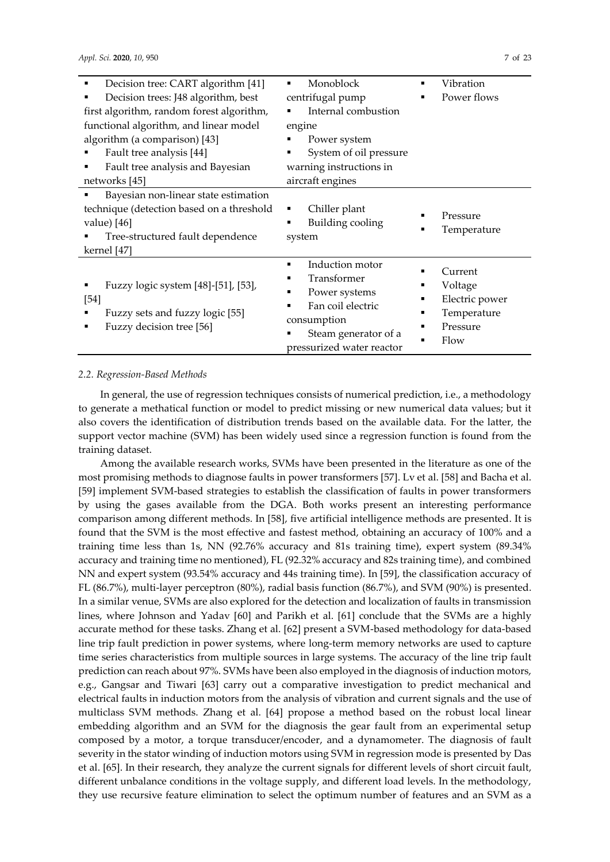| Decision tree: CART algorithm [41]<br>٠<br>Decision trees: J48 algorithm, best<br>first algorithm, random forest algorithm,<br>functional algorithm, and linear model<br>algorithm (a comparison) [43]<br>Fault tree analysis [44]<br>Fault tree analysis and Bayesian<br>networks [45] | Monoblock<br>٠<br>centrifugal pump<br>Internal combustion<br>engine<br>Power system<br>System of oil pressure<br>٠<br>warning instructions in<br>aircraft engines | Vibration<br>Power flows                                                               |
|-----------------------------------------------------------------------------------------------------------------------------------------------------------------------------------------------------------------------------------------------------------------------------------------|-------------------------------------------------------------------------------------------------------------------------------------------------------------------|----------------------------------------------------------------------------------------|
| Bayesian non-linear state estimation<br>technique (detection based on a threshold<br>value) $[46]$<br>Tree-structured fault dependence<br>kernel [47]                                                                                                                                   | Chiller plant<br>Building cooling<br>system                                                                                                                       | Pressure<br>Temperature                                                                |
| Fuzzy logic system [48]-[51], [53],<br>$[54]$<br>Fuzzy sets and fuzzy logic [55]<br>Fuzzy decision tree [56]                                                                                                                                                                            | Induction motor<br>٠<br>Transformer<br>Power systems<br>Fan coil electric<br>consumption<br>Steam generator of a<br>pressurized water reactor                     | Current<br>Voltage<br>٠<br>Electric power<br>٠<br>Temperature<br>٠<br>Pressure<br>Flow |

#### *2.2. Regression-Based Methods*

In general, the use of regression techniques consists of numerical prediction, i.e., a methodology to generate a methatical function or model to predict missing or new numerical data values; but it also covers the identification of distribution trends based on the available data. For the latter, the support vector machine (SVM) has been widely used since a regression function is found from the training dataset.

Among the available research works, SVMs have been presented in the literature as one of the most promising methods to diagnose faults in power transformers [57]. Lv et al. [58] and Bacha et al. [59] implement SVM-based strategies to establish the classification of faults in power transformers by using the gases available from the DGA. Both works present an interesting performance comparison among different methods. In [58], five artificial intelligence methods are presented. It is found that the SVM is the most effective and fastest method, obtaining an accuracy of 100% and a training time less than 1s, NN (92.76% accuracy and 81s training time), expert system (89.34% accuracy and training time no mentioned), FL (92.32% accuracy and 82s training time), and combined NN and expert system (93.54% accuracy and 44s training time). In [59], the classification accuracy of FL (86.7%), multi-layer perceptron (80%), radial basis function (86.7%), and SVM (90%) is presented. In a similar venue, SVMs are also explored for the detection and localization of faults in transmission lines, where Johnson and Yadav [60] and Parikh et al. [61] conclude that the SVMs are a highly accurate method for these tasks. Zhang et al. [62] present a SVM-based methodology for data-based line trip fault prediction in power systems, where long-term memory networks are used to capture time series characteristics from multiple sources in large systems. The accuracy of the line trip fault prediction can reach about 97%. SVMs have been also employed in the diagnosis of induction motors, e.g., Gangsar and Tiwari [63] carry out a comparative investigation to predict mechanical and electrical faults in induction motors from the analysis of vibration and current signals and the use of multiclass SVM methods. Zhang et al. [64] propose a method based on the robust local linear embedding algorithm and an SVM for the diagnosis the gear fault from an experimental setup composed by a motor, a torque transducer/encoder, and a dynamometer. The diagnosis of fault severity in the stator winding of induction motors using SVM in regression mode is presented by Das et al. [65]. In their research, they analyze the current signals for different levels of short circuit fault, different unbalance conditions in the voltage supply, and different load levels. In the methodology, they use recursive feature elimination to select the optimum number of features and an SVM as a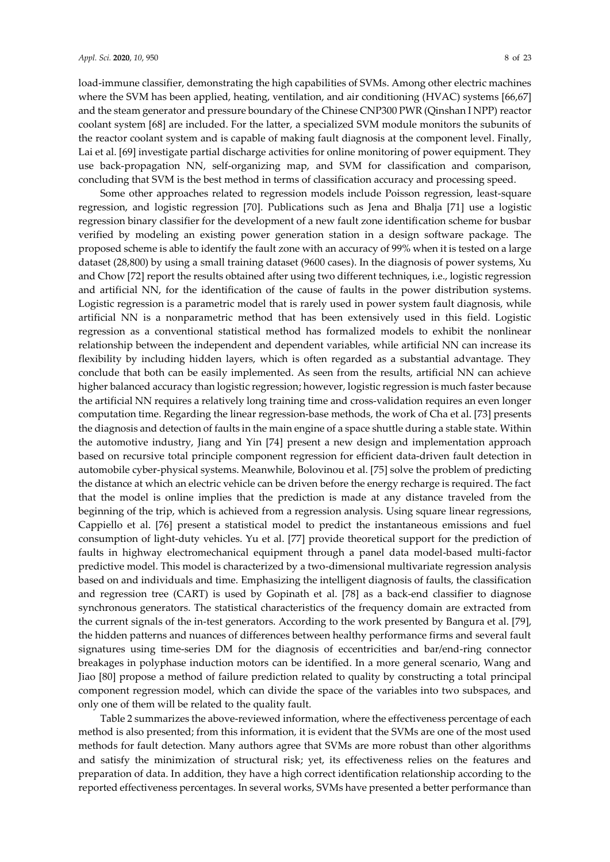load-immune classifier, demonstrating the high capabilities of SVMs. Among other electric machines where the SVM has been applied, heating, ventilation, and air conditioning (HVAC) systems [66,67] and the steam generator and pressure boundary of the Chinese CNP300 PWR (Qinshan I NPP) reactor coolant system [68] are included. For the latter, a specialized SVM module monitors the subunits of the reactor coolant system and is capable of making fault diagnosis at the component level. Finally, Lai et al. [69] investigate partial discharge activities for online monitoring of power equipment. They use back-propagation NN, self-organizing map, and SVM for classification and comparison, concluding that SVM is the best method in terms of classification accuracy and processing speed.

Some other approaches related to regression models include Poisson regression, least-square regression, and logistic regression [70]. Publications such as Jena and Bhalja [71] use a logistic regression binary classifier for the development of a new fault zone identification scheme for busbar verified by modeling an existing power generation station in a design software package. The proposed scheme is able to identify the fault zone with an accuracy of 99% when it is tested on a large dataset (28,800) by using a small training dataset (9600 cases). In the diagnosis of power systems, Xu and Chow [72] report the results obtained after using two different techniques, i.e., logistic regression and artificial NN, for the identification of the cause of faults in the power distribution systems. Logistic regression is a parametric model that is rarely used in power system fault diagnosis, while artificial NN is a nonparametric method that has been extensively used in this field. Logistic regression as a conventional statistical method has formalized models to exhibit the nonlinear relationship between the independent and dependent variables, while artificial NN can increase its flexibility by including hidden layers, which is often regarded as a substantial advantage. They conclude that both can be easily implemented. As seen from the results, artificial NN can achieve higher balanced accuracy than logistic regression; however, logistic regression is much faster because the artificial NN requires a relatively long training time and cross-validation requires an even longer computation time. Regarding the linear regression-base methods, the work of Cha et al. [73] presents the diagnosis and detection of faults in the main engine of a space shuttle during a stable state. Within the automotive industry, Jiang and Yin [74] present a new design and implementation approach based on recursive total principle component regression for efficient data-driven fault detection in automobile cyber-physical systems. Meanwhile, Bolovinou et al. [75] solve the problem of predicting the distance at which an electric vehicle can be driven before the energy recharge is required. The fact that the model is online implies that the prediction is made at any distance traveled from the beginning of the trip, which is achieved from a regression analysis. Using square linear regressions, Cappiello et al. [76] present a statistical model to predict the instantaneous emissions and fuel consumption of light-duty vehicles. Yu et al. [77] provide theoretical support for the prediction of faults in highway electromechanical equipment through a panel data model-based multi-factor predictive model. This model is characterized by a two-dimensional multivariate regression analysis based on and individuals and time. Emphasizing the intelligent diagnosis of faults, the classification and regression tree (CART) is used by Gopinath et al. [78] as a back-end classifier to diagnose synchronous generators. The statistical characteristics of the frequency domain are extracted from the current signals of the in-test generators. According to the work presented by Bangura et al. [79], the hidden patterns and nuances of differences between healthy performance firms and several fault signatures using time-series DM for the diagnosis of eccentricities and bar/end-ring connector breakages in polyphase induction motors can be identified. In a more general scenario, Wang and Jiao [80] propose a method of failure prediction related to quality by constructing a total principal component regression model, which can divide the space of the variables into two subspaces, and only one of them will be related to the quality fault.

Table 2 summarizes the above-reviewed information, where the effectiveness percentage of each method is also presented; from this information, it is evident that the SVMs are one of the most used methods for fault detection. Many authors agree that SVMs are more robust than other algorithms and satisfy the minimization of structural risk; yet, its effectiveness relies on the features and preparation of data. In addition, they have a high correct identification relationship according to the reported effectiveness percentages. In several works, SVMs have presented a better performance than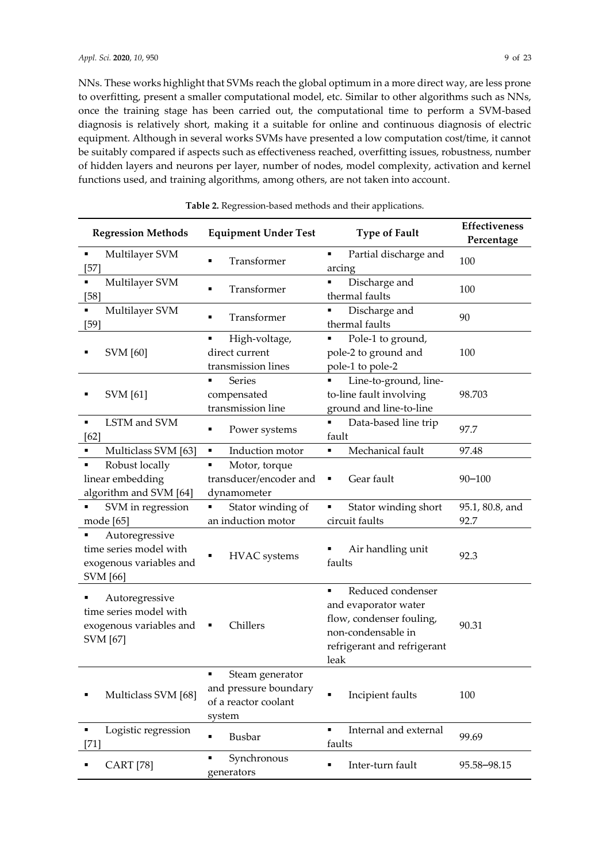NNs. These works highlight that SVMs reach the global optimum in a more direct way, are less prone to overfitting, present a smaller computational model, etc. Similar to other algorithms such as NNs, once the training stage has been carried out, the computational time to perform a SVM-based diagnosis is relatively short, making it a suitable for online and continuous diagnosis of electric equipment. Although in several works SVMs have presented a low computation cost/time, it cannot be suitably compared if aspects such as effectiveness reached, overfitting issues, robustness, number of hidden layers and neurons per layer, number of nodes, model complexity, activation and kernel functions used, and training algorithms, among others, are not taken into account.

| <b>Regression Methods</b>                                                              | <b>Equipment Under Test</b>                                                | <b>Type of Fault</b>                                                                                                               | Effectiveness<br>Percentage |
|----------------------------------------------------------------------------------------|----------------------------------------------------------------------------|------------------------------------------------------------------------------------------------------------------------------------|-----------------------------|
| Multilayer SVM<br>٠<br>$[57]$                                                          | Transformer                                                                | Partial discharge and<br>$\blacksquare$<br>arcing                                                                                  | 100                         |
| Multilayer SVM<br>٠<br>$[58]$                                                          | Transformer                                                                | Discharge and<br>thermal faults                                                                                                    | 100                         |
| Multilayer SVM<br>٠<br>$[59]$                                                          | Transformer                                                                | Discharge and<br>٠<br>thermal faults                                                                                               | 90                          |
| <b>SVM</b> [60]                                                                        | High-voltage,<br>direct current<br>transmission lines                      | Pole-1 to ground,<br>٠<br>pole-2 to ground and<br>pole-1 to pole-2                                                                 | 100                         |
| SVM [61]                                                                               | ٠<br>Series<br>compensated<br>transmission line                            | Line-to-ground, line-<br>to-line fault involving<br>ground and line-to-line                                                        | 98.703                      |
| LSTM and SVM<br>٠<br>[62]                                                              | Power systems<br>٠                                                         | Data-based line trip<br>٠<br>fault                                                                                                 | 97.7                        |
| Multiclass SVM [63]<br>٠                                                               | Induction motor<br>٠                                                       | Mechanical fault<br>٠                                                                                                              | 97.48                       |
| Robust locally<br>٠<br>linear embedding<br>algorithm and SVM [64]                      | Motor, torque<br>٠<br>transducer/encoder and<br>dynamometer                | Gear fault<br>٠                                                                                                                    | $90 - 100$                  |
| SVM in regression<br>Ξ<br>mode [65]                                                    | Stator winding of<br>an induction motor                                    | Stator winding short<br>٠<br>circuit faults                                                                                        | 95.1, 80.8, and<br>92.7     |
| Autoregressive<br>time series model with<br>exogenous variables and<br><b>SVM</b> [66] | <b>HVAC</b> systems                                                        | Air handling unit<br>faults                                                                                                        | 92.3                        |
| Autoregressive<br>time series model with<br>exogenous variables and<br><b>SVM</b> [67] | Chillers<br>٠                                                              | Reduced condenser<br>and evaporator water<br>flow, condenser fouling,<br>non-condensable in<br>refrigerant and refrigerant<br>leak | 90.31                       |
| Multiclass SVM [68]                                                                    | Steam generator<br>and pressure boundary<br>of a reactor coolant<br>system | Incipient faults                                                                                                                   | 100                         |
| Logistic regression<br>٠<br>$[71]$                                                     | Busbar                                                                     | $\blacksquare$<br>Internal and external<br>faults                                                                                  | 99.69                       |
| <b>CART</b> [78]                                                                       | Synchronous<br>٠<br>generators                                             | Inter-turn fault<br>٠                                                                                                              | 95.58–98.15                 |

| Table 2. Regression-based methods and their applications. |  |  |
|-----------------------------------------------------------|--|--|
|                                                           |  |  |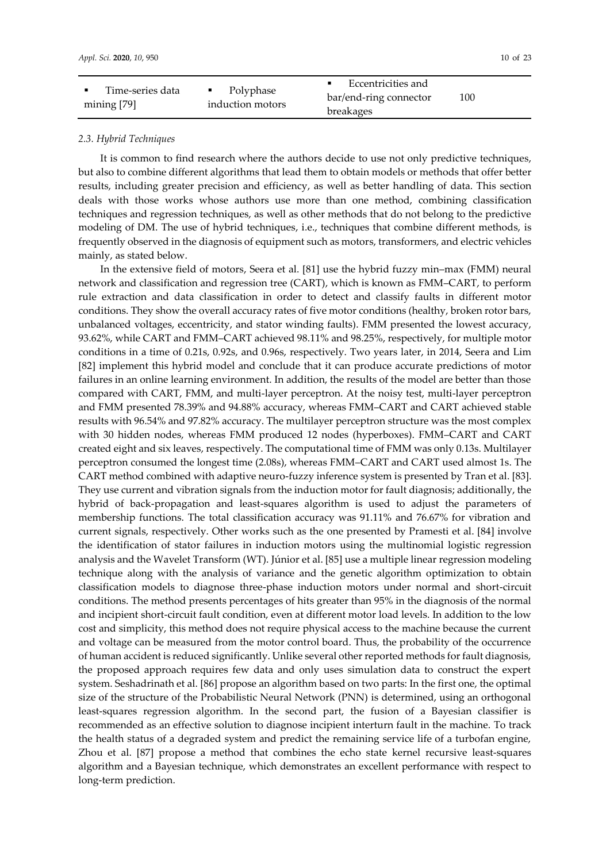| $\min_{15}$ [79]              | induction motors | breakages              |     |
|-------------------------------|------------------|------------------------|-----|
| Polyphase<br>Time-series data |                  | bar/end-ring connector | 100 |
|                               |                  | - Eccentricities and   |     |

### *2.3. Hybrid Techniques*

It is common to find research where the authors decide to use not only predictive techniques, but also to combine different algorithms that lead them to obtain models or methods that offer better results, including greater precision and efficiency, as well as better handling of data. This section deals with those works whose authors use more than one method, combining classification techniques and regression techniques, as well as other methods that do not belong to the predictive modeling of DM. The use of hybrid techniques, i.e., techniques that combine different methods, is frequently observed in the diagnosis of equipment such as motors, transformers, and electric vehicles mainly, as stated below.

In the extensive field of motors, Seera et al. [81] use the hybrid fuzzy min–max (FMM) neural network and classification and regression tree (CART), which is known as FMM–CART, to perform rule extraction and data classification in order to detect and classify faults in different motor conditions. They show the overall accuracy rates of five motor conditions (healthy, broken rotor bars, unbalanced voltages, eccentricity, and stator winding faults). FMM presented the lowest accuracy, 93.62%, while CART and FMM–CART achieved 98.11% and 98.25%, respectively, for multiple motor conditions in a time of 0.21s, 0.92s, and 0.96s, respectively. Two years later, in 2014, Seera and Lim [82] implement this hybrid model and conclude that it can produce accurate predictions of motor failures in an online learning environment. In addition, the results of the model are better than those compared with CART, FMM, and multi-layer perceptron. At the noisy test, multi-layer perceptron and FMM presented 78.39% and 94.88% accuracy, whereas FMM–CART and CART achieved stable results with 96.54% and 97.82% accuracy. The multilayer perceptron structure was the most complex with 30 hidden nodes, whereas FMM produced 12 nodes (hyperboxes). FMM–CART and CART created eight and six leaves, respectively. The computational time of FMM was only 0.13s. Multilayer perceptron consumed the longest time (2.08s), whereas FMM–CART and CART used almost 1s. The CART method combined with adaptive neuro-fuzzy inference system is presented by Tran et al. [83]. They use current and vibration signals from the induction motor for fault diagnosis; additionally, the hybrid of back-propagation and least-squares algorithm is used to adjust the parameters of membership functions. The total classification accuracy was 91.11% and 76.67% for vibration and current signals, respectively. Other works such as the one presented by Pramesti et al. [84] involve the identification of stator failures in induction motors using the multinomial logistic regression analysis and the Wavelet Transform (WT). Júnior et al. [85] use a multiple linear regression modeling technique along with the analysis of variance and the genetic algorithm optimization to obtain classification models to diagnose three-phase induction motors under normal and short-circuit conditions. The method presents percentages of hits greater than 95% in the diagnosis of the normal and incipient short-circuit fault condition, even at different motor load levels. In addition to the low cost and simplicity, this method does not require physical access to the machine because the current and voltage can be measured from the motor control board. Thus, the probability of the occurrence of human accident is reduced significantly. Unlike several other reported methods for fault diagnosis, the proposed approach requires few data and only uses simulation data to construct the expert system. Seshadrinath et al. [86] propose an algorithm based on two parts: In the first one, the optimal size of the structure of the Probabilistic Neural Network (PNN) is determined, using an orthogonal least-squares regression algorithm. In the second part, the fusion of a Bayesian classifier is recommended as an effective solution to diagnose incipient interturn fault in the machine. To track the health status of a degraded system and predict the remaining service life of a turbofan engine, Zhou et al. [87] propose a method that combines the echo state kernel recursive least-squares algorithm and a Bayesian technique, which demonstrates an excellent performance with respect to long-term prediction.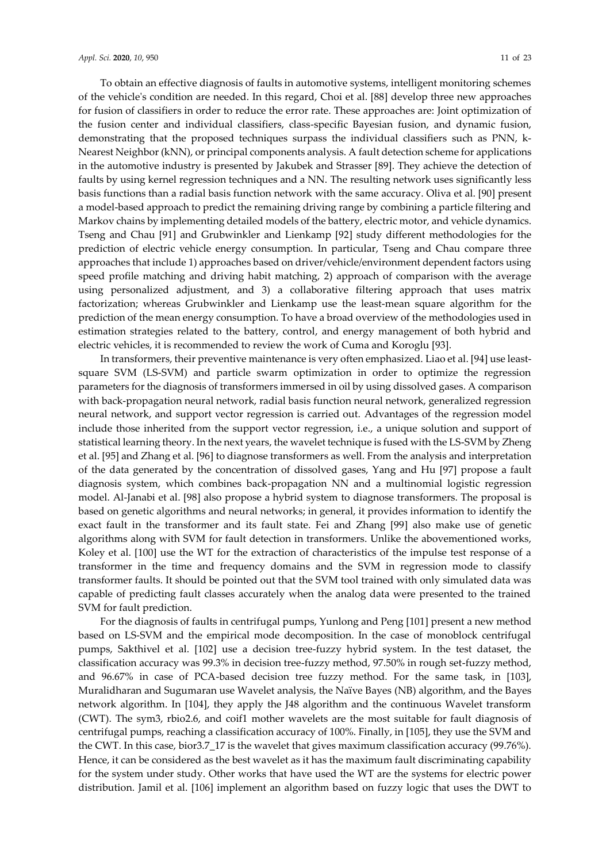To obtain an effective diagnosis of faults in automotive systems, intelligent monitoring schemes of the vehicle's condition are needed. In this regard, Choi et al. [88] develop three new approaches for fusion of classifiers in order to reduce the error rate. These approaches are: Joint optimization of the fusion center and individual classifiers, class-specific Bayesian fusion, and dynamic fusion, demonstrating that the proposed techniques surpass the individual classifiers such as PNN, k-Nearest Neighbor (kNN), or principal components analysis. A fault detection scheme for applications in the automotive industry is presented by Jakubek and Strasser [89]. They achieve the detection of faults by using kernel regression techniques and a NN. The resulting network uses significantly less basis functions than a radial basis function network with the same accuracy. Oliva et al. [90] present a model-based approach to predict the remaining driving range by combining a particle filtering and Markov chains by implementing detailed models of the battery, electric motor, and vehicle dynamics. Tseng and Chau [91] and Grubwinkler and Lienkamp [92] study different methodologies for the prediction of electric vehicle energy consumption. In particular, Tseng and Chau compare three approaches that include 1) approaches based on driver/vehicle/environment dependent factors using speed profile matching and driving habit matching, 2) approach of comparison with the average using personalized adjustment, and 3) a collaborative filtering approach that uses matrix factorization; whereas Grubwinkler and Lienkamp use the least-mean square algorithm for the prediction of the mean energy consumption. To have a broad overview of the methodologies used in estimation strategies related to the battery, control, and energy management of both hybrid and electric vehicles, it is recommended to review the work of Cuma and Koroglu [93].

In transformers, their preventive maintenance is very often emphasized. Liao et al. [94] use leastsquare SVM (LS-SVM) and particle swarm optimization in order to optimize the regression parameters for the diagnosis of transformers immersed in oil by using dissolved gases. A comparison with back-propagation neural network, radial basis function neural network, generalized regression neural network, and support vector regression is carried out. Advantages of the regression model include those inherited from the support vector regression, i.e., a unique solution and support of statistical learning theory. In the next years, the wavelet technique is fused with the LS-SVM by Zheng et al. [95] and Zhang et al. [96] to diagnose transformers as well. From the analysis and interpretation of the data generated by the concentration of dissolved gases, Yang and Hu [97] propose a fault diagnosis system, which combines back-propagation NN and a multinomial logistic regression model. Al-Janabi et al. [98] also propose a hybrid system to diagnose transformers. The proposal is based on genetic algorithms and neural networks; in general, it provides information to identify the exact fault in the transformer and its fault state. Fei and Zhang [99] also make use of genetic algorithms along with SVM for fault detection in transformers. Unlike the abovementioned works, Koley et al. [100] use the WT for the extraction of characteristics of the impulse test response of a transformer in the time and frequency domains and the SVM in regression mode to classify transformer faults. It should be pointed out that the SVM tool trained with only simulated data was capable of predicting fault classes accurately when the analog data were presented to the trained SVM for fault prediction.

For the diagnosis of faults in centrifugal pumps, Yunlong and Peng [101] present a new method based on LS-SVM and the empirical mode decomposition. In the case of monoblock centrifugal pumps, Sakthivel et al. [102] use a decision tree-fuzzy hybrid system. In the test dataset, the classification accuracy was 99.3% in decision tree-fuzzy method, 97.50% in rough set-fuzzy method, and 96.67% in case of PCA-based decision tree fuzzy method. For the same task, in [103], Muralidharan and Sugumaran use Wavelet analysis, the Naïve Bayes (NB) algorithm, and the Bayes network algorithm. In [104], they apply the J48 algorithm and the continuous Wavelet transform (CWT). The sym3, rbio2.6, and coif1 mother wavelets are the most suitable for fault diagnosis of centrifugal pumps, reaching a classification accuracy of 100%. Finally, in [105], they use the SVM and the CWT. In this case, bior3.7\_17 is the wavelet that gives maximum classification accuracy (99.76%). Hence, it can be considered as the best wavelet as it has the maximum fault discriminating capability for the system under study. Other works that have used the WT are the systems for electric power distribution. Jamil et al. [106] implement an algorithm based on fuzzy logic that uses the DWT to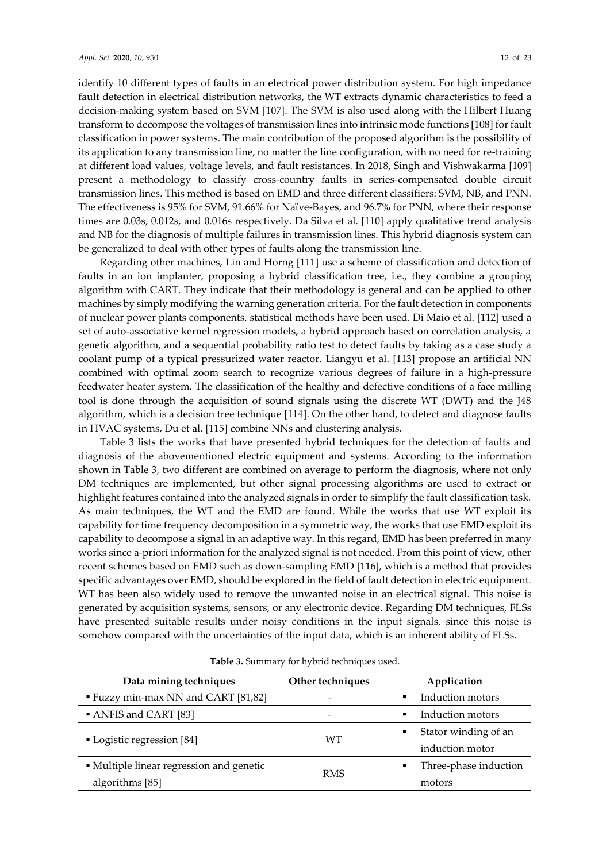identify 10 different types of faults in an electrical power distribution system. For high impedance fault detection in electrical distribution networks, the WT extracts dynamic characteristics to feed a decision-making system based on SVM [107]. The SVM is also used along with the Hilbert Huang transform to decompose the voltages of transmission lines into intrinsic mode functions [108] for fault classification in power systems. The main contribution of the proposed algorithm is the possibility of its application to any transmission line, no matter the line configuration, with no need for re-training at different load values, voltage levels, and fault resistances. In 2018, Singh and Vishwakarma [109] present a methodology to classify cross-country faults in series-compensated double circuit transmission lines. This method is based on EMD and three different classifiers: SVM, NB, and PNN. The effectiveness is 95% for SVM, 91.66% for Naïve-Bayes, and 96.7% for PNN, where their response times are 0.03s, 0.012s, and 0.016s respectively. Da Silva et al. [110] apply qualitative trend analysis and NB for the diagnosis of multiple failures in transmission lines. This hybrid diagnosis system can be generalized to deal with other types of faults along the transmission line.

Regarding other machines, Lin and Horng [111] use a scheme of classification and detection of faults in an ion implanter, proposing a hybrid classification tree, i.e., they combine a grouping algorithm with CART. They indicate that their methodology is general and can be applied to other machines by simply modifying the warning generation criteria. For the fault detection in components of nuclear power plants components, statistical methods have been used. Di Maio et al. [112] used a set of auto-associative kernel regression models, a hybrid approach based on correlation analysis, a genetic algorithm, and a sequential probability ratio test to detect faults by taking as a case study a coolant pump of a typical pressurized water reactor. Liangyu et al. [113] propose an artificial NN combined with optimal zoom search to recognize various degrees of failure in a high-pressure feedwater heater system. The classification of the healthy and defective conditions of a face milling tool is done through the acquisition of sound signals using the discrete WT (DWT) and the J48 algorithm, which is a decision tree technique [114]. On the other hand, to detect and diagnose faults in HVAC systems, Du et al. [115] combine NNs and clustering analysis.

Table 3 lists the works that have presented hybrid techniques for the detection of faults and diagnosis of the abovementioned electric equipment and systems. According to the information shown in Table 3, two different are combined on average to perform the diagnosis, where not only DM techniques are implemented, but other signal processing algorithms are used to extract or highlight features contained into the analyzed signals in order to simplify the fault classification task. As main techniques, the WT and the EMD are found. While the works that use WT exploit its capability for time frequency decomposition in a symmetric way, the works that use EMD exploit its capability to decompose a signal in an adaptive way. In this regard, EMD has been preferred in many works since a-priori information for the analyzed signal is not needed. From this point of view, other recent schemes based on EMD such as down-sampling EMD [116], which is a method that provides specific advantages over EMD, should be explored in the field of fault detection in electric equipment. WT has been also widely used to remove the unwanted noise in an electrical signal. This noise is generated by acquisition systems, sensors, or any electronic device. Regarding DM techniques, FLSs have presented suitable results under noisy conditions in the input signals, since this noise is somehow compared with the uncertainties of the input data, which is an inherent ability of FLSs.

| Data mining techniques                   | Other techniques | Application               |
|------------------------------------------|------------------|---------------------------|
| ■ Fuzzy min-max NN and CART [81,82]      |                  | Induction motors          |
| • ANFIS and CART [83]                    |                  | Induction motors<br>٠     |
|                                          | WТ               | Stator winding of an<br>٠ |
| • Logistic regression [84]               |                  | induction motor           |
| · Multiple linear regression and genetic | <b>RMS</b>       | Three-phase induction     |
| algorithms [85]                          |                  | motors                    |

**Table 3.** Summary for hybrid techniques used.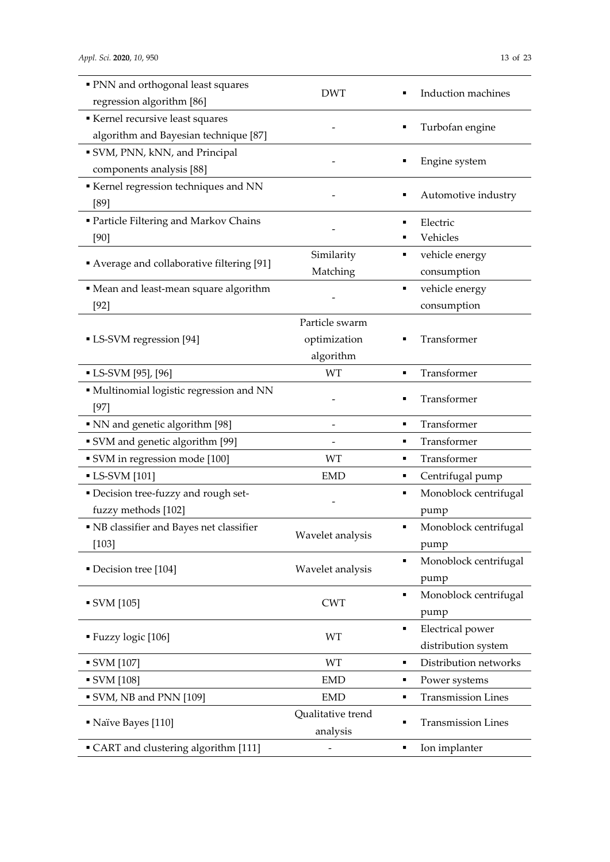| • PNN and orthogonal least squares<br>regression algorithm [86]         | <b>DWT</b>                                  | Induction machines                           |
|-------------------------------------------------------------------------|---------------------------------------------|----------------------------------------------|
| Kernel recursive least squares<br>algorithm and Bayesian technique [87] |                                             | Turbofan engine                              |
| SVM, PNN, kNN, and Principal<br>components analysis [88]                |                                             | Engine system<br>٠                           |
| Kernel regression techniques and NN<br>[89]                             |                                             | Automotive industry                          |
| " Particle Filtering and Markov Chains<br>[90]                          |                                             | Electric<br>٠<br>Vehicles                    |
| Average and collaborative filtering [91]                                | Similarity<br>Matching                      | vehicle energy<br>consumption                |
| • Mean and least-mean square algorithm<br>$[92]$                        |                                             | vehicle energy<br>٠<br>consumption           |
| • LS-SVM regression [94]                                                | Particle swarm<br>optimization<br>algorithm | Transformer                                  |
| • LS-SVM [95], [96]                                                     | <b>WT</b>                                   | Transformer<br>٠                             |
| · Multinomial logistic regression and NN<br>$[97]$                      |                                             | Transformer<br>٠                             |
| NN and genetic algorithm [98]                                           |                                             | Transformer<br>٠                             |
| SVM and genetic algorithm [99]                                          |                                             | Transformer<br>٠                             |
| SVM in regression mode [100]                                            | <b>WT</b>                                   | Transformer<br>٠                             |
| • LS-SVM [101]                                                          | <b>EMD</b>                                  | Centrifugal pump<br>٠                        |
| · Decision tree-fuzzy and rough set-<br>fuzzy methods [102]             |                                             | Monoblock centrifugal<br>٠<br>pump           |
| NB classifier and Bayes net classifier<br>[103]                         | Wavelet analysis                            | Monoblock centrifugal<br>pump                |
| Decision tree [104]                                                     | Wavelet analysis                            | Monoblock centrifugal<br>٠<br>pump           |
| $\bullet$ SVM [105]                                                     | <b>CWT</b>                                  | Monoblock centrifugal<br>٠<br>pump           |
| ■ Fuzzy logic [106]                                                     | <b>WT</b>                                   | Electrical power<br>٠<br>distribution system |
| $\bullet$ SVM [107]                                                     | <b>WT</b>                                   | Distribution networks<br>٠                   |
| $\bullet$ SVM [108]                                                     | <b>EMD</b>                                  | Power systems<br>٠                           |
| SVM, NB and PNN [109]                                                   | <b>EMD</b>                                  | <b>Transmission Lines</b><br>٠               |
| • Naïve Bayes [110]                                                     | Qualitative trend<br>analysis               | <b>Transmission Lines</b><br>٠               |
| CART and clustering algorithm [111]                                     |                                             | Ion implanter<br>٠                           |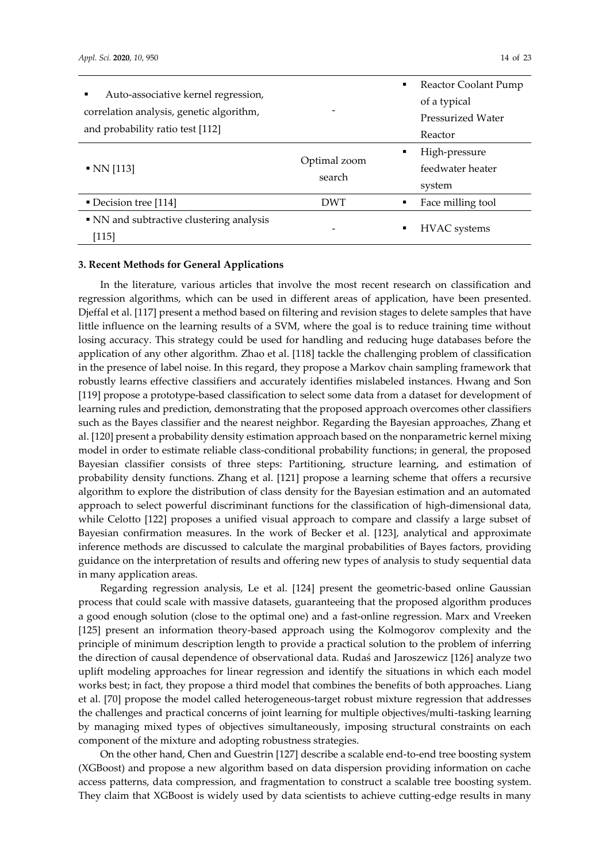|                                                   |              | ٠ | Reactor Coolant Pump     |
|---------------------------------------------------|--------------|---|--------------------------|
| Auto-associative kernel regression,               |              |   | of a typical             |
| correlation analysis, genetic algorithm,          |              |   | <b>Pressurized Water</b> |
| and probability ratio test [112]                  |              |   | Reactor                  |
|                                                   | Optimal zoom |   | High-pressure            |
| $\blacksquare$ NN [113]                           | search       |   | feedwater heater         |
|                                                   |              |   | system                   |
| • Decision tree [114]                             | <b>DWT</b>   |   | Face milling tool        |
| • NN and subtractive clustering analysis<br>[115] |              | ٠ | <b>HVAC</b> systems      |

#### **3. Recent Methods for General Applications**

In the literature, various articles that involve the most recent research on classification and regression algorithms, which can be used in different areas of application, have been presented. Djeffal et al. [117] present a method based on filtering and revision stages to delete samples that have little influence on the learning results of a SVM, where the goal is to reduce training time without losing accuracy. This strategy could be used for handling and reducing huge databases before the application of any other algorithm. Zhao et al. [118] tackle the challenging problem of classification in the presence of label noise. In this regard, they propose a Markov chain sampling framework that robustly learns effective classifiers and accurately identifies mislabeled instances. Hwang and Son [119] propose a prototype-based classification to select some data from a dataset for development of learning rules and prediction, demonstrating that the proposed approach overcomes other classifiers such as the Bayes classifier and the nearest neighbor. Regarding the Bayesian approaches, Zhang et al. [120] present a probability density estimation approach based on the nonparametric kernel mixing model in order to estimate reliable class-conditional probability functions; in general, the proposed Bayesian classifier consists of three steps: Partitioning, structure learning, and estimation of probability density functions. Zhang et al. [121] propose a learning scheme that offers a recursive algorithm to explore the distribution of class density for the Bayesian estimation and an automated approach to select powerful discriminant functions for the classification of high-dimensional data, while Celotto [122] proposes a unified visual approach to compare and classify a large subset of Bayesian confirmation measures. In the work of Becker et al. [123], analytical and approximate inference methods are discussed to calculate the marginal probabilities of Bayes factors, providing guidance on the interpretation of results and offering new types of analysis to study sequential data in many application areas.

Regarding regression analysis, Le et al. [124] present the geometric-based online Gaussian process that could scale with massive datasets, guaranteeing that the proposed algorithm produces a good enough solution (close to the optimal one) and a fast-online regression. Marx and Vreeken [125] present an information theory-based approach using the Kolmogorov complexity and the principle of minimum description length to provide a practical solution to the problem of inferring the direction of causal dependence of observational data. Rudaś and Jaroszewicz [126] analyze two uplift modeling approaches for linear regression and identify the situations in which each model works best; in fact, they propose a third model that combines the benefits of both approaches. Liang et al. [70] propose the model called heterogeneous-target robust mixture regression that addresses the challenges and practical concerns of joint learning for multiple objectives/multi-tasking learning by managing mixed types of objectives simultaneously, imposing structural constraints on each component of the mixture and adopting robustness strategies.

On the other hand, Chen and Guestrin [127] describe a scalable end-to-end tree boosting system (XGBoost) and propose a new algorithm based on data dispersion providing information on cache access patterns, data compression, and fragmentation to construct a scalable tree boosting system. They claim that XGBoost is widely used by data scientists to achieve cutting-edge results in many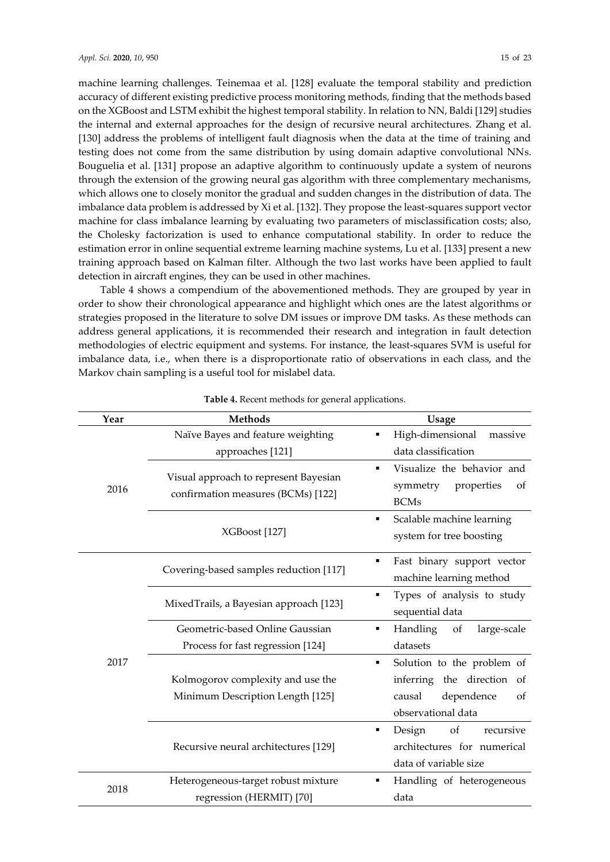machine learning challenges. Teinemaa et al. [128] evaluate the temporal stability and prediction accuracy of different existing predictive process monitoring methods, finding that the methods based on the XGBoost and LSTM exhibit the highest temporal stability. In relation to NN, Baldi [129] studies the internal and external approaches for the design of recursive neural architectures. Zhang et al. [130] address the problems of intelligent fault diagnosis when the data at the time of training and testing does not come from the same distribution by using domain adaptive convolutional NNs. Bouguelia et al. [131] propose an adaptive algorithm to continuously update a system of neurons through the extension of the growing neural gas algorithm with three complementary mechanisms, which allows one to closely monitor the gradual and sudden changes in the distribution of data. The imbalance data problem is addressed by Xi et al. [132]. They propose the least-squares support vector machine for class imbalance learning by evaluating two parameters of misclassification costs; also, the Cholesky factorization is used to enhance computational stability. In order to reduce the estimation error in online sequential extreme learning machine systems, Lu et al. [133] present a new training approach based on Kalman filter. Although the two last works have been applied to fault detection in aircraft engines, they can be used in other machines.

Table 4 shows a compendium of the abovementioned methods. They are grouped by year in order to show their chronological appearance and highlight which ones are the latest algorithms or strategies proposed in the literature to solve DM issues or improve DM tasks. As these methods can address general applications, it is recommended their research and integration in fault detection methodologies of electric equipment and systems. For instance, the least-squares SVM is useful for imbalance data, i.e., when there is a disproportionate ratio of observations in each class, and the Markov chain sampling is a useful tool for mislabel data.

| Year | <b>Methods</b>                         | Usage |                                      |
|------|----------------------------------------|-------|--------------------------------------|
|      | Naïve Bayes and feature weighting      |       | High-dimensional<br>massive          |
|      | approaches [121]                       |       | data classification                  |
|      |                                        | ٠     | Visualize the behavior and           |
| 2016 | Visual approach to represent Bayesian  |       | symmetry properties<br><sub>of</sub> |
|      | confirmation measures (BCMs) [122]     |       | <b>BCMs</b>                          |
|      |                                        | ٠     | Scalable machine learning            |
|      | XGBoost [127]                          |       | system for tree boosting             |
|      | Covering-based samples reduction [117] |       | Fast binary support vector           |
|      |                                        |       | machine learning method              |
|      | MixedTrails, a Bayesian approach [123] | ٠     | Types of analysis to study           |
|      |                                        |       | sequential data                      |
|      | Geometric-based Online Gaussian        | ٠     | Handling<br>of<br>large-scale        |
|      | Process for fast regression [124]      |       | datasets                             |
| 2017 |                                        | ٠     | Solution to the problem of           |
|      | Kolmogorov complexity and use the      |       | inferring the direction of           |
|      | Minimum Description Length [125]       |       | dependence<br>causal<br>of           |
|      |                                        |       | observational data                   |
|      |                                        | ٠     | Design<br>of<br>recursive            |
|      | Recursive neural architectures [129]   |       | architectures for numerical          |
|      |                                        |       | data of variable size                |
| 2018 | Heterogeneous-target robust mixture    |       | Handling of heterogeneous            |
|      | regression (HERMIT) [70]               |       | data                                 |

#### **Table 4.** Recent methods for general applications.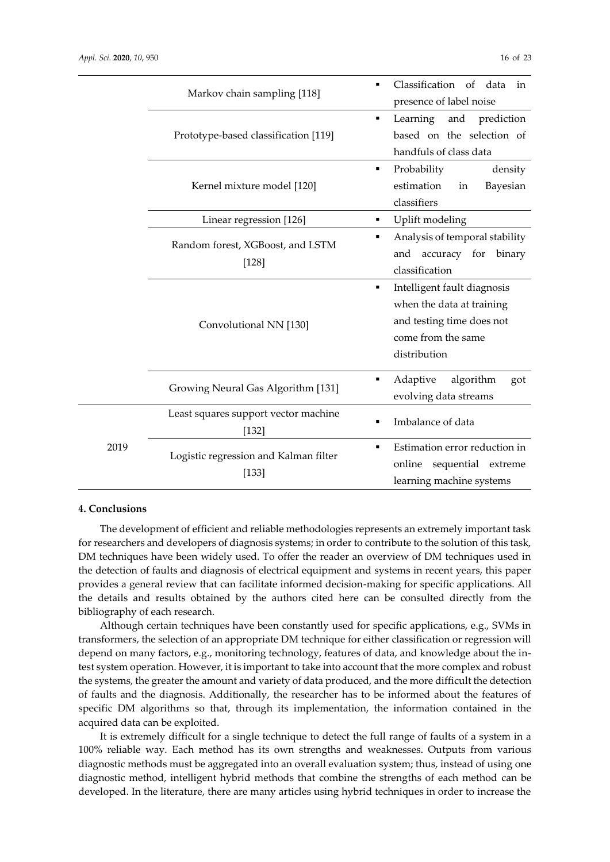|      | Markov chain sampling [118]                      | Classification<br>of<br>data<br>in<br>presence of label noise                                                                    |
|------|--------------------------------------------------|----------------------------------------------------------------------------------------------------------------------------------|
|      | Prototype-based classification [119]             | Learning<br>prediction<br>and<br>٠<br>based on the selection of<br>handfuls of class data                                        |
|      | Kernel mixture model [120]                       | Probability<br>density<br>٠<br>estimation<br>Bayesian<br>in<br>classifiers                                                       |
|      | Linear regression [126]                          | Uplift modeling<br>٠                                                                                                             |
|      | Random forest, XGBoost, and LSTM<br>$[128]$      | Analysis of temporal stability<br>accuracy for<br>binary<br>and<br>classification                                                |
|      | Convolutional NN [130]                           | Intelligent fault diagnosis<br>٠<br>when the data at training<br>and testing time does not<br>come from the same<br>distribution |
|      | Growing Neural Gas Algorithm [131]               | algorithm<br>Adaptive<br>got<br>evolving data streams                                                                            |
|      | Least squares support vector machine<br>$[132]$  | Imbalance of data                                                                                                                |
| 2019 | Logistic regression and Kalman filter<br>$[133]$ | Estimation error reduction in<br>$\blacksquare$<br>online sequential extreme<br>learning machine systems                         |

# **4. Conclusions**

The development of efficient and reliable methodologies represents an extremely important task for researchers and developers of diagnosis systems; in order to contribute to the solution of this task, DM techniques have been widely used. To offer the reader an overview of DM techniques used in the detection of faults and diagnosis of electrical equipment and systems in recent years, this paper provides a general review that can facilitate informed decision-making for specific applications. All the details and results obtained by the authors cited here can be consulted directly from the bibliography of each research.

Although certain techniques have been constantly used for specific applications, e.g., SVMs in transformers, the selection of an appropriate DM technique for either classification or regression will depend on many factors, e.g., monitoring technology, features of data, and knowledge about the intest system operation. However, it is important to take into account that the more complex and robust the systems, the greater the amount and variety of data produced, and the more difficult the detection of faults and the diagnosis. Additionally, the researcher has to be informed about the features of specific DM algorithms so that, through its implementation, the information contained in the acquired data can be exploited.

It is extremely difficult for a single technique to detect the full range of faults of a system in a 100% reliable way. Each method has its own strengths and weaknesses. Outputs from various diagnostic methods must be aggregated into an overall evaluation system; thus, instead of using one diagnostic method, intelligent hybrid methods that combine the strengths of each method can be developed. In the literature, there are many articles using hybrid techniques in order to increase the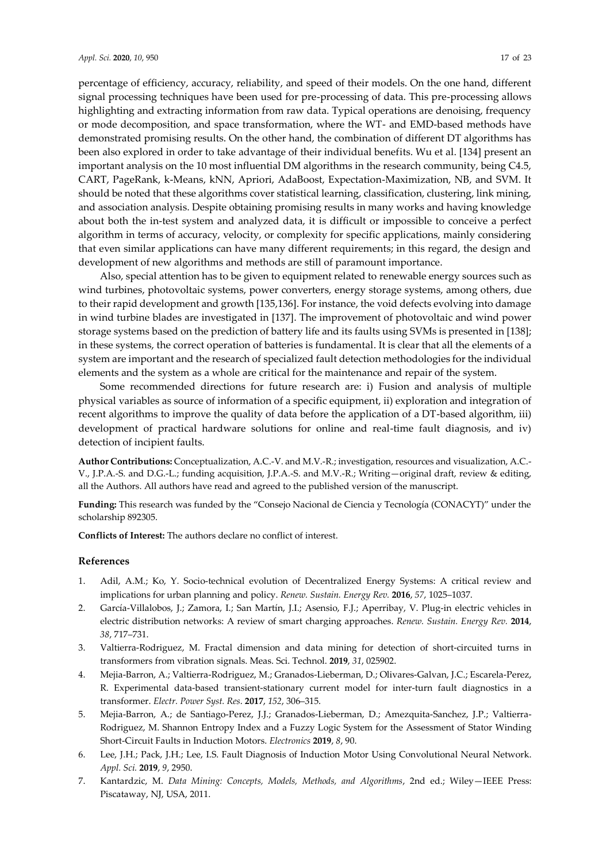percentage of efficiency, accuracy, reliability, and speed of their models. On the one hand, different signal processing techniques have been used for pre-processing of data. This pre-processing allows highlighting and extracting information from raw data. Typical operations are denoising, frequency or mode decomposition, and space transformation, where the WT- and EMD-based methods have demonstrated promising results. On the other hand, the combination of different DT algorithms has been also explored in order to take advantage of their individual benefits. Wu et al. [134] present an important analysis on the 10 most influential DM algorithms in the research community, being C4.5, CART, PageRank, k-Means, kNN, Apriori, AdaBoost, Expectation-Maximization, NB, and SVM. It should be noted that these algorithms cover statistical learning, classification, clustering, link mining, and association analysis. Despite obtaining promising results in many works and having knowledge about both the in-test system and analyzed data, it is difficult or impossible to conceive a perfect algorithm in terms of accuracy, velocity, or complexity for specific applications, mainly considering that even similar applications can have many different requirements; in this regard, the design and development of new algorithms and methods are still of paramount importance.

Also, special attention has to be given to equipment related to renewable energy sources such as wind turbines, photovoltaic systems, power converters, energy storage systems, among others, due to their rapid development and growth [135,136]. For instance, the void defects evolving into damage in wind turbine blades are investigated in [137]. The improvement of photovoltaic and wind power storage systems based on the prediction of battery life and its faults using SVMs is presented in [138]; in these systems, the correct operation of batteries is fundamental. It is clear that all the elements of a system are important and the research of specialized fault detection methodologies for the individual elements and the system as a whole are critical for the maintenance and repair of the system.

Some recommended directions for future research are: i) Fusion and analysis of multiple physical variables as source of information of a specific equipment, ii) exploration and integration of recent algorithms to improve the quality of data before the application of a DT-based algorithm, iii) development of practical hardware solutions for online and real-time fault diagnosis, and iv) detection of incipient faults.

**Author Contributions:** Conceptualization, A.C.-V. and M.V.-R.; investigation, resources and visualization, A.C.- V., J.P.A.-S. and D.G.-L.; funding acquisition, J.P.A.-S. and M.V.-R.; Writing—original draft, review & editing, all the Authors. All authors have read and agreed to the published version of the manuscript.

**Funding:** This research was funded by the "Consejo Nacional de Ciencia y Tecnología (CONACYT)" under the scholarship 892305.

**Conflicts of Interest:** The authors declare no conflict of interest.

#### **References**

- 1. Adil, A.M.; Ko, Y. Socio-technical evolution of Decentralized Energy Systems: A critical review and implications for urban planning and policy. *Renew. Sustain. Energy Rev.* **2016**, *57*, 1025–1037.
- 2. García-Villalobos, J.; Zamora, I.; San Martín, J.I.; Asensio, F.J.; Aperribay, V. Plug-in electric vehicles in electric distribution networks: A review of smart charging approaches. *Renew. Sustain. Energy Rev.* **2014**, *38*, 717–731.
- 3. Valtierra-Rodriguez, M. Fractal dimension and data mining for detection of short-circuited turns in transformers from vibration signals. Meas. Sci. Technol. **2019**, *31*, 025902.
- 4. Mejia-Barron, A.; Valtierra-Rodriguez, M.; Granados-Lieberman, D.; Olivares-Galvan, J.C.; Escarela-Perez, R. Experimental data-based transient-stationary current model for inter-turn fault diagnostics in a transformer. *Electr. Power Syst. Res*. **2017**, *152*, 306–315.
- 5. Mejia-Barron, A.; de Santiago-Perez, J.J.; Granados-Lieberman, D.; Amezquita-Sanchez, J.P.; Valtierra-Rodriguez, M. Shannon Entropy Index and a Fuzzy Logic System for the Assessment of Stator Winding Short-Circuit Faults in Induction Motors. *Electronics* **2019**, *8*, 90.
- 6. Lee, J.H.; Pack, J.H.; Lee, I.S. Fault Diagnosis of Induction Motor Using Convolutional Neural Network. *Appl. Sci.* **2019**, *9*, 2950.
- 7. Kantardzic, M. *Data Mining: Concepts, Models, Methods, and Algorithms*, 2nd ed.; Wiley—IEEE Press: Piscataway, NJ, USA, 2011.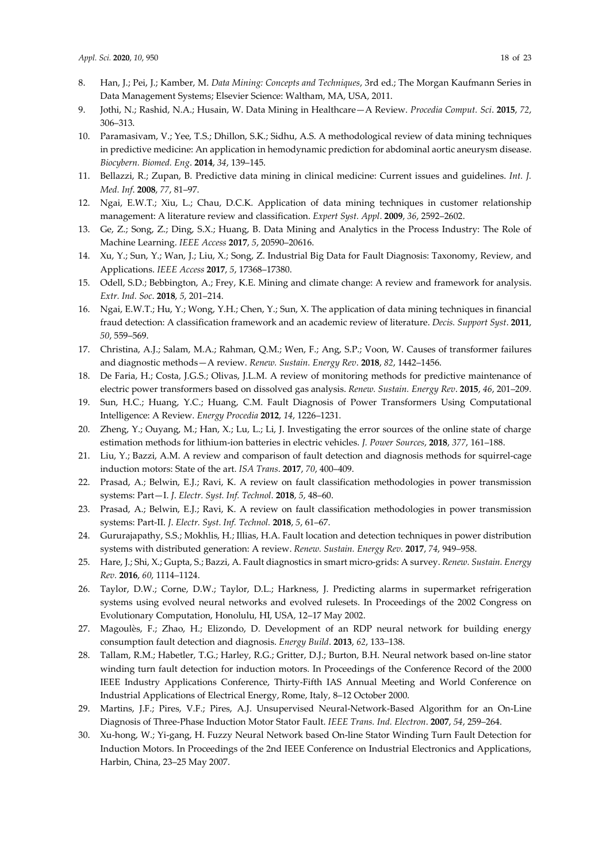- 8. Han, J.; Pei, J.; Kamber, M. *Data Mining: Concepts and Techniques*, 3rd ed.; The Morgan Kaufmann Series in Data Management Systems; Elsevier Science: Waltham, MA, USA, 2011.
- 9. Jothi, N.; Rashid, N.A.; Husain, W. Data Mining in Healthcare—A Review. *Procedia Comput. Sci*. **2015**, *72*, 306–313.
- 10. Paramasivam, V.; Yee, T.S.; Dhillon, S.K.; Sidhu, A.S. A methodological review of data mining techniques in predictive medicine: An application in hemodynamic prediction for abdominal aortic aneurysm disease. *Biocybern. Biomed. Eng*. **2014**, *34*, 139–145.
- 11. Bellazzi, R.; Zupan, B. Predictive data mining in clinical medicine: Current issues and guidelines. *Int. J. Med. Inf*. **2008**, *77*, 81–97.
- 12. Ngai, E.W.T.; Xiu, L.; Chau, D.C.K. Application of data mining techniques in customer relationship management: A literature review and classification. *Expert Syst. Appl*. **2009**, *36*, 2592–2602.
- 13. Ge, Z.; Song, Z.; Ding, S.X.; Huang, B. Data Mining and Analytics in the Process Industry: The Role of Machine Learning. *IEEE Access* **2017**, *5*, 20590–20616.
- 14. Xu, Y.; Sun, Y.; Wan, J.; Liu, X.; Song, Z. Industrial Big Data for Fault Diagnosis: Taxonomy, Review, and Applications. *IEEE Access* **2017**, *5*, 17368–17380.
- 15. Odell, S.D.; Bebbington, A.; Frey, K.E. Mining and climate change: A review and framework for analysis. *Extr. Ind. Soc*. **2018**, *5*, 201–214.
- 16. Ngai, E.W.T.; Hu, Y.; Wong, Y.H.; Chen, Y.; Sun, X. The application of data mining techniques in financial fraud detection: A classification framework and an academic review of literature. *Decis. Support Syst*. **2011**, *50*, 559–569.
- 17. Christina, A.J.; Salam, M.A.; Rahman, Q.M.; Wen, F.; Ang, S.P.; Voon, W. Causes of transformer failures and diagnostic methods—A review. *Renew. Sustain. Energy Rev*. **2018**, *82*, 1442–1456.
- 18. De Faria, H.; Costa, J.G.S.; Olivas, J.L.M. A review of monitoring methods for predictive maintenance of electric power transformers based on dissolved gas analysis. *Renew. Sustain. Energy Rev*. **2015**, *46*, 201–209.
- 19. Sun, H.C.; Huang, Y.C.; Huang, C.M. Fault Diagnosis of Power Transformers Using Computational Intelligence: A Review. *Energy Procedia* **2012**, *14*, 1226–1231.
- 20. Zheng, Y.; Ouyang, M.; Han, X.; Lu, L.; Li, J. Investigating the error sources of the online state of charge estimation methods for lithium-ion batteries in electric vehicles. *J. Power Sources*, **2018**, *377*, 161–188.
- 21. Liu, Y.; Bazzi, A.M. A review and comparison of fault detection and diagnosis methods for squirrel-cage induction motors: State of the art. *ISA Trans*. **2017**, *70*, 400–409.
- 22. Prasad, A.; Belwin, E.J.; Ravi, K. A review on fault classification methodologies in power transmission systems: Part—I. *J*. *Electr. Syst. Inf. Technol*. **2018**, *5*, 48–60.
- 23. Prasad, A.; Belwin, E.J.; Ravi, K. A review on fault classification methodologies in power transmission systems: Part-II. *J*. *Electr. Syst. Inf. Technol.* **2018**, *5*, 61–67.
- 24. Gururajapathy, S.S.; Mokhlis, H.; Illias, H.A. Fault location and detection techniques in power distribution systems with distributed generation: A review. *Renew. Sustain. Energy Rev.* **2017**, *74*, 949–958.
- 25. Hare, J.; Shi, X.; Gupta, S.; Bazzi, A. Fault diagnostics in smart micro-grids: A survey. *Renew. Sustain. Energy Rev.* **2016**, *60*, 1114–1124.
- 26. Taylor, D.W.; Corne, D.W.; Taylor, D.L.; Harkness, J. Predicting alarms in supermarket refrigeration systems using evolved neural networks and evolved rulesets. In Proceedings of the 2002 Congress on Evolutionary Computation, Honolulu, HI, USA, 12–17 May 2002.
- 27. Magoulès, F.; Zhao, H.; Elizondo, D. Development of an RDP neural network for building energy consumption fault detection and diagnosis. *Energy Build*. **2013**, *62*, 133–138.
- 28. Tallam, R.M.; Habetler, T.G.; Harley, R.G.; Gritter, D.J.; Burton, B.H. Neural network based on-line stator winding turn fault detection for induction motors. In Proceedings of the Conference Record of the 2000 IEEE Industry Applications Conference, Thirty-Fifth IAS Annual Meeting and World Conference on Industrial Applications of Electrical Energy, Rome, Italy, 8–12 October 2000.
- 29. Martins, J.F.; Pires, V.F.; Pires, A.J. Unsupervised Neural-Network-Based Algorithm for an On-Line Diagnosis of Three-Phase Induction Motor Stator Fault. *IEEE Trans. Ind. Electron*. **2007**, *54*, 259–264.
- 30. Xu-hong, W.; Yi-gang, H. Fuzzy Neural Network based On-line Stator Winding Turn Fault Detection for Induction Motors. In Proceedings of the 2nd IEEE Conference on Industrial Electronics and Applications, Harbin, China, 23–25 May 2007.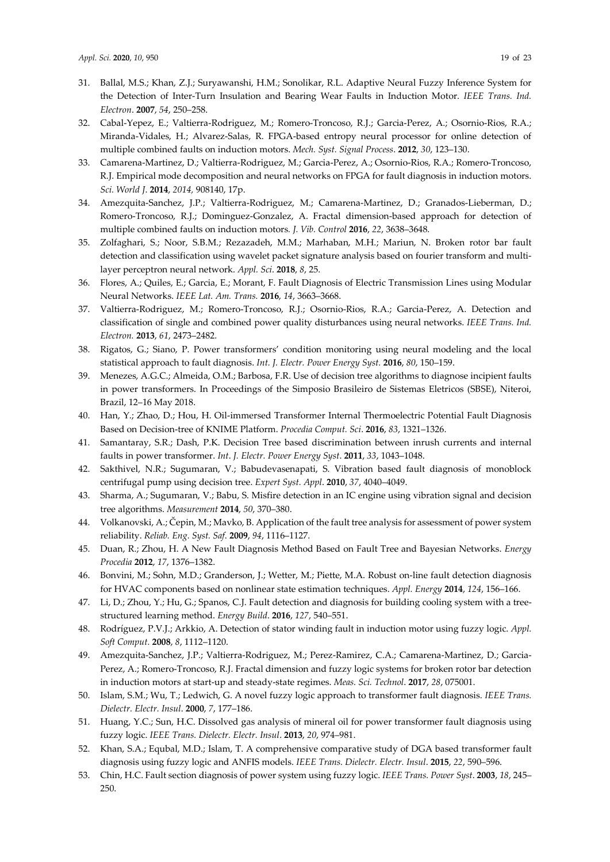- 31. Ballal, M.S.; Khan, Z.J.; Suryawanshi, H.M.; Sonolikar, R.L. Adaptive Neural Fuzzy Inference System for the Detection of Inter-Turn Insulation and Bearing Wear Faults in Induction Motor. *IEEE Trans. Ind. Electron*. **2007**, *54*, 250–258.
- 32. Cabal-Yepez, E.; Valtierra-Rodriguez, M.; Romero-Troncoso, R.J.; Garcia-Perez, A.; Osornio-Rios, R.A.; Miranda-Vidales, H.; Alvarez-Salas, R. FPGA-based entropy neural processor for online detection of multiple combined faults on induction motors. *Mech. Syst. Signal Process*. **2012**, *30*, 123–130.
- 33. Camarena-Martinez, D.; Valtierra-Rodriguez, M.; Garcia-Perez, A.; Osornio-Rios, R.A.; Romero-Troncoso, R.J. Empirical mode decomposition and neural networks on FPGA for fault diagnosis in induction motors. *Sci. World J*. **2014**, *2014,* 908140, 17p.
- 34. Amezquita-Sanchez, J.P.; Valtierra-Rodriguez, M.; Camarena-Martinez, D.; Granados-Lieberman, D.; Romero-Troncoso, R.J.; Dominguez-Gonzalez, A. Fractal dimension-based approach for detection of multiple combined faults on induction motors*. J. Vib. Control* **2016**, *22*, 3638–3648.
- 35. Zolfaghari, S.; Noor, S.B.M.; Rezazadeh, M.M.; Marhaban, M.H.; Mariun, N. Broken rotor bar fault detection and classification using wavelet packet signature analysis based on fourier transform and multilayer perceptron neural network. *Appl. Sci*. **2018**, *8*, 25.
- 36. Flores, A.; Quiles, E.; Garcia, E.; Morant, F. Fault Diagnosis of Electric Transmission Lines using Modular Neural Networks. *IEEE Lat. Am. Trans.* **2016**, *14*, 3663–3668.
- 37. Valtierra-Rodriguez, M.; Romero-Troncoso, R.J.; Osornio-Rios, R.A.; Garcia-Perez, A. Detection and classification of single and combined power quality disturbances using neural networks. *IEEE Trans. Ind. Electron.* **2013**, *61*, 2473–2482.
- 38. Rigatos, G.; Siano, P. Power transformers' condition monitoring using neural modeling and the local statistical approach to fault diagnosis. *Int. J. Electr. Power Energy Syst.* **2016**, *80*, 150–159.
- 39. Menezes, A.G.C.; Almeida, O.M.; Barbosa, F.R. Use of decision tree algorithms to diagnose incipient faults in power transformers. In Proceedings of the Simposio Brasileiro de Sistemas Eletricos (SBSE), Niteroi, Brazil, 12–16 May 2018.
- 40. Han, Y.; Zhao, D.; Hou, H. Oil-immersed Transformer Internal Thermoelectric Potential Fault Diagnosis Based on Decision-tree of KNIME Platform. *Procedia Comput. Sci*. **2016**, *83*, 1321–1326.
- 41. Samantaray, S.R.; Dash, P.K. Decision Tree based discrimination between inrush currents and internal faults in power transformer. *Int*. *J. Electr. Power Energy Syst*. **2011**, *33*, 1043–1048.
- 42. Sakthivel, N.R.; Sugumaran, V.; Babudevasenapati, S. Vibration based fault diagnosis of monoblock centrifugal pump using decision tree. *Expert Syst. Appl*. **2010**, *37*, 4040–4049.
- 43. Sharma, A.; Sugumaran, V.; Babu, S. Misfire detection in an IC engine using vibration signal and decision tree algorithms. *Measurement* **2014**, *50*, 370–380.
- 44. Volkanovski, A.; Čepin, M.; Mavko, B. Application of the fault tree analysis for assessment of power system reliability. *Reliab. Eng. Syst. Saf*. **2009**, *94*, 1116–1127.
- 45. Duan, R.; Zhou, H. A New Fault Diagnosis Method Based on Fault Tree and Bayesian Networks. *Energy Procedia* **2012**, *17*, 1376–1382.
- 46. Bonvini, M.; Sohn, M.D.; Granderson, J.; Wetter, M.; Piette, M.A. Robust on-line fault detection diagnosis for HVAC components based on nonlinear state estimation techniques. *Appl. Energy* **2014**, *124*, 156–166.
- 47. Li, D.; Zhou, Y.; Hu, G.; Spanos, C.J. Fault detection and diagnosis for building cooling system with a treestructured learning method. *Energy Build*. **2016**, *127*, 540–551.
- 48. Rodríguez, P.V.J.; Arkkio, A. Detection of stator winding fault in induction motor using fuzzy logic. *Appl. Soft Comput.* **2008**, *8*, 1112–1120.
- 49. Amezquita-Sanchez, J.P.; Valtierra-Rodriguez, M.; Perez-Ramirez, C.A.; Camarena-Martinez, D.; Garcia-Perez, A.; Romero-Troncoso, R.J. Fractal dimension and fuzzy logic systems for broken rotor bar detection in induction motors at start-up and steady-state regimes. *Meas. Sci. Technol*. **2017**, *28*, 075001.
- 50. Islam, S.M.; Wu, T.; Ledwich, G. A novel fuzzy logic approach to transformer fault diagnosis. *IEEE Trans. Dielectr. Electr. Insul*. **2000**, *7*, 177–186.
- 51. Huang, Y.C.; Sun, H.C. Dissolved gas analysis of mineral oil for power transformer fault diagnosis using fuzzy logic. *IEEE Trans. Dielectr. Electr. Insul*. **2013**, *20*, 974–981.
- 52. Khan, S.A.; Equbal, M.D.; Islam, T. A comprehensive comparative study of DGA based transformer fault diagnosis using fuzzy logic and ANFIS models. *IEEE Trans. Dielectr. Electr. Insul*. **2015**, *22*, 590–596.
- 53. Chin, H.C. Fault section diagnosis of power system using fuzzy logic. *IEEE Trans. Power Syst*. **2003**, *18*, 245– 250.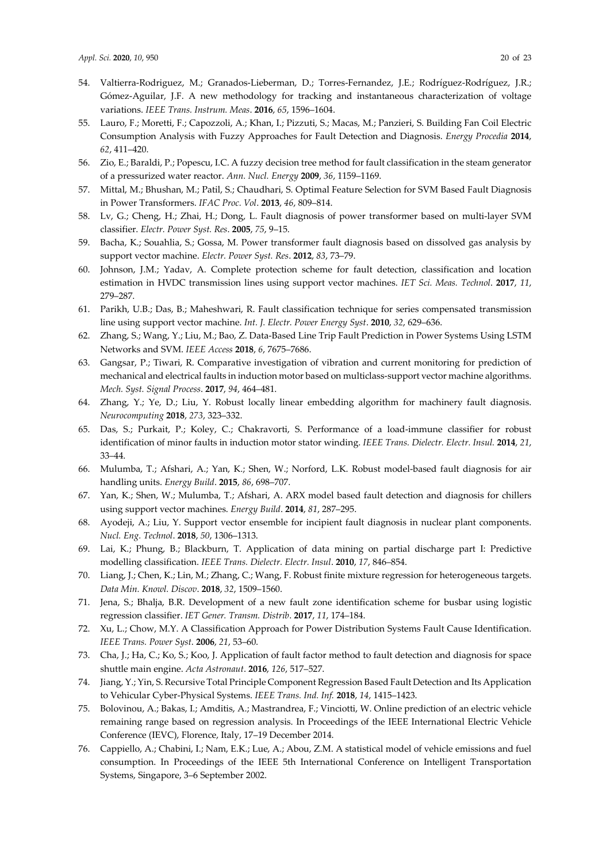- 54. Valtierra-Rodriguez, M.; Granados-Lieberman, D.; Torres-Fernandez, J.E.; Rodríguez-Rodríguez, J.R.; Gómez-Aguilar, J.F. A new methodology for tracking and instantaneous characterization of voltage variations. *IEEE Trans. Instrum. Meas*. **2016**, *65*, 1596–1604.
- 55. Lauro, F.; Moretti, F.; Capozzoli, A.; Khan, I.; Pizzuti, S.; Macas, M.; Panzieri, S. Building Fan Coil Electric Consumption Analysis with Fuzzy Approaches for Fault Detection and Diagnosis. *Energy Procedia* **2014**, *62*, 411–420.
- 56. Zio, E.; Baraldi, P.; Popescu, I.C. A fuzzy decision tree method for fault classification in the steam generator of a pressurized water reactor. *Ann. Nucl. Energy* **2009**, *36*, 1159–1169.
- 57. Mittal, M.; Bhushan, M.; Patil, S.; Chaudhari, S. Optimal Feature Selection for SVM Based Fault Diagnosis in Power Transformers. *IFAC Proc. Vol*. **2013**, *46*, 809–814.
- 58. Lv, G.; Cheng, H.; Zhai, H.; Dong, L. Fault diagnosis of power transformer based on multi-layer SVM classifier. *Electr. Power Syst. Res*. **2005**, *75*, 9–15.
- 59. Bacha, K.; Souahlia, S.; Gossa, M. Power transformer fault diagnosis based on dissolved gas analysis by support vector machine. *Electr. Power Syst. Res*. **2012**, *83*, 73–79.
- 60. Johnson, J.M.; Yadav, A. Complete protection scheme for fault detection, classification and location estimation in HVDC transmission lines using support vector machines. *IET Sci. Meas. Technol*. **2017**, *11*, 279–287.
- 61. Parikh, U.B.; Das, B.; Maheshwari, R. Fault classification technique for series compensated transmission line using support vector machine. *Int. J. Electr. Power Energy Syst*. **2010**, *32*, 629–636.
- 62. Zhang, S.; Wang, Y.; Liu, M.; Bao, Z. Data-Based Line Trip Fault Prediction in Power Systems Using LSTM Networks and SVM. *IEEE Access* **2018**, *6*, 7675–7686.
- 63. Gangsar, P.; Tiwari, R. Comparative investigation of vibration and current monitoring for prediction of mechanical and electrical faults in induction motor based on multiclass-support vector machine algorithms. *Mech. Syst. Signal Process*. **2017**, *94*, 464–481.
- 64. Zhang, Y.; Ye, D.; Liu, Y. Robust locally linear embedding algorithm for machinery fault diagnosis. *Neurocomputing* **2018**, *273*, 323–332.
- 65. Das, S.; Purkait, P.; Koley, C.; Chakravorti, S. Performance of a load-immune classifier for robust identification of minor faults in induction motor stator winding. *IEEE Trans. Dielectr. Electr. Insul.* **2014**, *21*, 33–44.
- 66. Mulumba, T.; Afshari, A.; Yan, K.; Shen, W.; Norford, L.K. Robust model-based fault diagnosis for air handling units. *Energy Build*. **2015**, *86*, 698–707.
- 67. Yan, K.; Shen, W.; Mulumba, T.; Afshari, A. ARX model based fault detection and diagnosis for chillers using support vector machines. *Energy Build*. **2014**, *81*, 287–295.
- 68. Ayodeji, A.; Liu, Y. Support vector ensemble for incipient fault diagnosis in nuclear plant components. *Nucl. Eng. Technol*. **2018**, *50*, 1306–1313.
- 69. Lai, K.; Phung, B.; Blackburn, T. Application of data mining on partial discharge part I: Predictive modelling classification. *IEEE Trans. Dielectr. Electr. Insul*. **2010**, *17*, 846–854.
- 70. Liang, J.; Chen, K.; Lin, M.; Zhang, C.; Wang, F. Robust finite mixture regression for heterogeneous targets. *Data Min. Knowl. Discov*. **2018**, *32*, 1509–1560.
- 71. Jena, S.; Bhalja, B.R. Development of a new fault zone identification scheme for busbar using logistic regression classifier. *IET Gener. Transm. Distrib*. **2017**, *11*, 174–184.
- 72. Xu, L.; Chow, M.Y. A Classification Approach for Power Distribution Systems Fault Cause Identification. *IEEE Trans. Power Syst*. **2006**, *21*, 53–60.
- 73. Cha, J.; Ha, C.; Ko, S.; Koo, J. Application of fault factor method to fault detection and diagnosis for space shuttle main engine. *Acta Astronaut*. **2016**, *126*, 517–527.
- 74. Jiang, Y.; Yin, S. Recursive Total Principle Component Regression Based Fault Detection and Its Application to Vehicular Cyber-Physical Systems. *IEEE Trans. Ind. Inf.* **2018**, *14*, 1415–1423.
- 75. Bolovinou, A.; Bakas, I.; Amditis, A.; Mastrandrea, F.; Vinciotti, W. Online prediction of an electric vehicle remaining range based on regression analysis. In Proceedings of the IEEE International Electric Vehicle Conference (IEVC), Florence, Italy, 17–19 December 2014.
- 76. Cappiello, A.; Chabini, I.; Nam, E.K.; Lue, A.; Abou, Z.M. A statistical model of vehicle emissions and fuel consumption. In Proceedings of the IEEE 5th International Conference on Intelligent Transportation Systems, Singapore, 3–6 September 2002.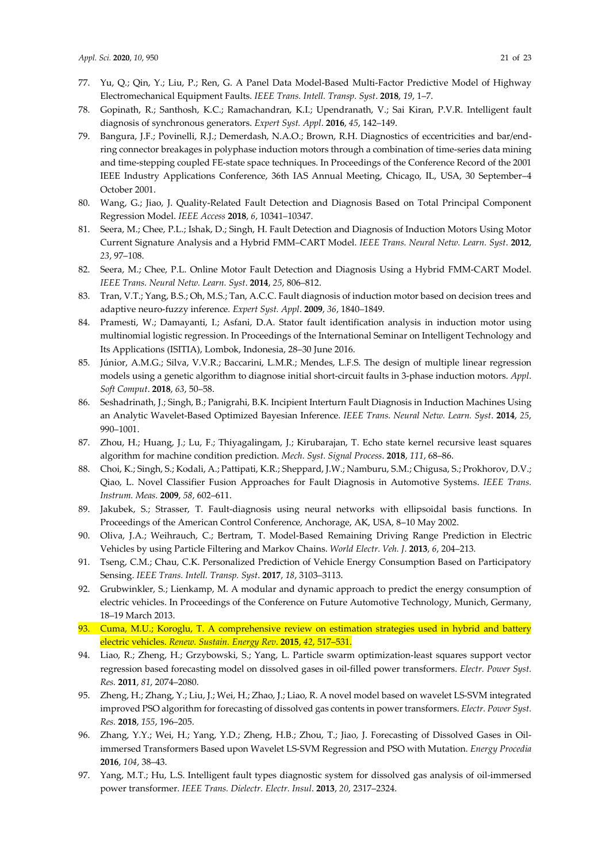- 77. Yu, Q.; Qin, Y.; Liu, P.; Ren, G. A Panel Data Model-Based Multi-Factor Predictive Model of Highway Electromechanical Equipment Faults. *IEEE Trans. Intell. Transp. Syst*. **2018**, *19*, 1–7.
- 78. Gopinath, R.; Santhosh, K.C.; Ramachandran, K.I.; Upendranath, V.; Sai Kiran, P.V.R. Intelligent fault diagnosis of synchronous generators. *Expert Syst. Appl*. **2016**, *45*, 142–149.
- 79. Bangura, J.F.; Povinelli, R.J.; Demerdash, N.A.O.; Brown, R.H. Diagnostics of eccentricities and bar/endring connector breakages in polyphase induction motors through a combination of time-series data mining and time-stepping coupled FE-state space techniques. In Proceedings of the Conference Record of the 2001 IEEE Industry Applications Conference, 36th IAS Annual Meeting, Chicago, IL, USA, 30 September–4 October 2001.
- 80. Wang, G.; Jiao, J. Quality-Related Fault Detection and Diagnosis Based on Total Principal Component Regression Model. *IEEE Access* **2018**, *6*, 10341–10347.
- 81. Seera, M.; Chee, P.L.; Ishak, D.; Singh, H. Fault Detection and Diagnosis of Induction Motors Using Motor Current Signature Analysis and a Hybrid FMM–CART Model. *IEEE Trans. Neural Netw. Learn. Syst*. **2012**, *23*, 97–108.
- 82. Seera, M.; Chee, P.L. Online Motor Fault Detection and Diagnosis Using a Hybrid FMM-CART Model. *IEEE Trans. Neural Netw. Learn. Syst*. **2014**, *25*, 806–812.
- 83. Tran, V.T.; Yang, B.S.; Oh, M.S.; Tan, A.C.C. Fault diagnosis of induction motor based on decision trees and adaptive neuro-fuzzy inference*. Expert Syst. Appl*. **2009**, *36*, 1840–1849.
- 84. Pramesti, W.; Damayanti, I.; Asfani, D.A. Stator fault identification analysis in induction motor using multinomial logistic regression. In Proceedings of the International Seminar on Intelligent Technology and Its Applications (ISITIA), Lombok, Indonesia, 28–30 June 2016.
- 85. Júnior, A.M.G.; Silva, V.V.R.; Baccarini, L.M.R.; Mendes, L.F.S. The design of multiple linear regression models using a genetic algorithm to diagnose initial short-circuit faults in 3-phase induction motors. *Appl*. *Soft Comput*. **2018**, *63*, 50–58.
- 86. Seshadrinath, J.; Singh, B.; Panigrahi, B.K. Incipient Interturn Fault Diagnosis in Induction Machines Using an Analytic Wavelet-Based Optimized Bayesian Inference. *IEEE Trans. Neural Netw. Learn. Syst*. **2014**, *25*, 990–1001.
- 87. Zhou, H.; Huang, J.; Lu, F.; Thiyagalingam, J.; Kirubarajan, T. Echo state kernel recursive least squares algorithm for machine condition prediction. *Mech. Syst. Signal Process*. **2018**, *111*, 68–86.
- 88. Choi, K.; Singh, S.; Kodali, A.; Pattipati, K.R.; Sheppard, J.W.; Namburu, S.M.; Chigusa, S.; Prokhorov, D.V.; Qiao, L. Novel Classifier Fusion Approaches for Fault Diagnosis in Automotive Systems. *IEEE Trans. Instrum. Meas*. **2009**, *58*, 602–611.
- 89. Jakubek, S.; Strasser, T. Fault-diagnosis using neural networks with ellipsoidal basis functions. In Proceedings of the American Control Conference, Anchorage, AK, USA, 8–10 May 2002.
- 90. Oliva, J.A.; Weihrauch, C.; Bertram, T. Model-Based Remaining Driving Range Prediction in Electric Vehicles by using Particle Filtering and Markov Chains. *World Electr. Veh. J*. **2013**, *6*, 204–213.
- 91. Tseng, C.M.; Chau, C.K. Personalized Prediction of Vehicle Energy Consumption Based on Participatory Sensing. *IEEE Trans. Intell. Transp. Syst*. **2017**, *18*, 3103–3113.
- 92. Grubwinkler, S.; Lienkamp, M. A modular and dynamic approach to predict the energy consumption of electric vehicles. In Proceedings of the Conference on Future Automotive Technology, Munich, Germany, 18–19 March 2013.
- 93. Cuma, M.U.; Koroglu, T. A comprehensive review on estimation strategies used in hybrid and battery electric vehicles. *Renew. Sustain. Energy Rev*. **2015**, *42*, 517–531.
- 94. Liao, R.; Zheng, H.; Grzybowski, S.; Yang, L. Particle swarm optimization-least squares support vector regression based forecasting model on dissolved gases in oil-filled power transformers. *Electr. Power Syst. Res.* **2011**, *81*, 2074–2080.
- 95. Zheng, H.; Zhang, Y.; Liu, J.; Wei, H.; Zhao, J.; Liao, R. A novel model based on wavelet LS-SVM integrated improved PSO algorithm for forecasting of dissolved gas contents in power transformers. *Electr. Power Syst. Res.* **2018**, *155*, 196–205.
- 96. Zhang, Y.Y.; Wei, H.; Yang, Y.D.; Zheng, H.B.; Zhou, T.; Jiao, J. Forecasting of Dissolved Gases in Oilimmersed Transformers Based upon Wavelet LS-SVM Regression and PSO with Mutation. *Energy Procedia* **2016**, *104*, 38–43.
- 97. Yang, M.T.; Hu, L.S. Intelligent fault types diagnostic system for dissolved gas analysis of oil-immersed power transformer. *IEEE Trans. Dielectr. Electr. Insul*. **2013**, *20*, 2317–2324.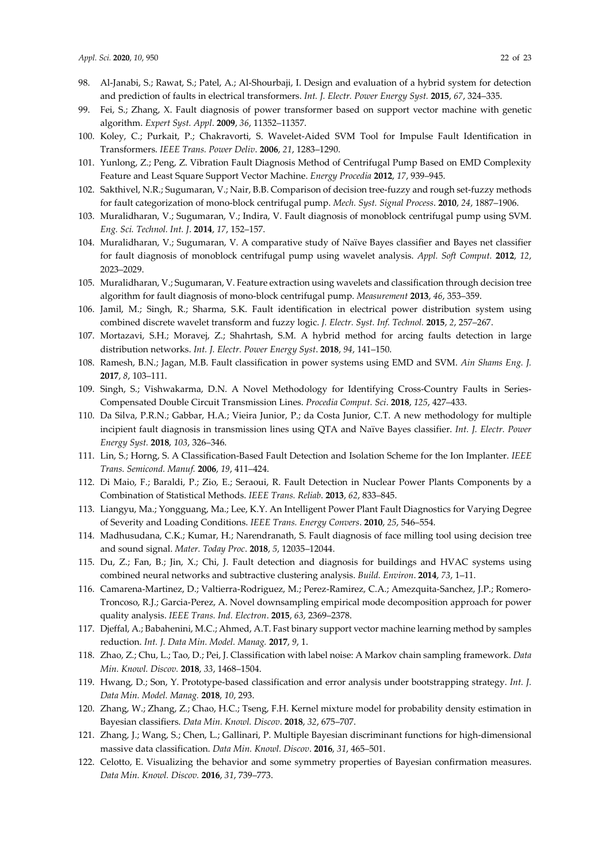- 98. Al-Janabi, S.; Rawat, S.; Patel, A.; Al-Shourbaji, I. Design and evaluation of a hybrid system for detection and prediction of faults in electrical transformers. *Int. J. Electr. Power Energy Syst.* **2015**, *67*, 324–335.
- 99. Fei, S.; Zhang, X. Fault diagnosis of power transformer based on support vector machine with genetic algorithm. *Expert Syst. Appl*. **2009**, *36*, 11352–11357.
- 100. Koley, C.; Purkait, P.; Chakravorti, S. Wavelet-Aided SVM Tool for Impulse Fault Identification in Transformers. *IEEE Trans. Power Deliv*. **2006**, *21*, 1283–1290.
- 101. Yunlong, Z.; Peng, Z. Vibration Fault Diagnosis Method of Centrifugal Pump Based on EMD Complexity Feature and Least Square Support Vector Machine. *Energy Procedia* **2012**, *17*, 939–945.
- 102. Sakthivel, N.R.; Sugumaran, V.; Nair, B.B. Comparison of decision tree-fuzzy and rough set-fuzzy methods for fault categorization of mono-block centrifugal pump. *Mech. Syst. Signal Process*. **2010**, *24*, 1887–1906.
- 103. Muralidharan, V.; Sugumaran, V.; Indira, V. Fault diagnosis of monoblock centrifugal pump using SVM. *Eng. Sci. Technol. Int. J*. **2014**, *17*, 152–157.
- 104. Muralidharan, V.; Sugumaran, V. A comparative study of Naïve Bayes classifier and Bayes net classifier for fault diagnosis of monoblock centrifugal pump using wavelet analysis. *Appl. Soft Comput.* **2012**, *12*, 2023–2029.
- 105. Muralidharan, V.; Sugumaran, V. Feature extraction using wavelets and classification through decision tree algorithm for fault diagnosis of mono-block centrifugal pump. *Measurement* **2013**, *46*, 353–359.
- 106. Jamil, M.; Singh, R.; Sharma, S.K. Fault identification in electrical power distribution system using combined discrete wavelet transform and fuzzy logic. *J. Electr. Syst. Inf. Technol.* **2015**, *2*, 257–267.
- 107. Mortazavi, S.H.; Moravej, Z.; Shahrtash, S.M. A hybrid method for arcing faults detection in large distribution networks. *Int. J. Electr. Power Energy Syst*. **2018**, *94*, 141–150.
- 108. Ramesh, B.N.; Jagan, M.B. Fault classification in power systems using EMD and SVM. *Ain Shams Eng. J.* **2017**, *8*, 103–111.
- 109. Singh, S.; Vishwakarma, D.N. A Novel Methodology for Identifying Cross-Country Faults in Series-Compensated Double Circuit Transmission Lines. *Procedia Comput. Sci*. **2018**, *125*, 427–433.
- 110. Da Silva, P.R.N.; Gabbar, H.A.; Vieira Junior, P.; da Costa Junior, C.T. A new methodology for multiple incipient fault diagnosis in transmission lines using QTA and Naïve Bayes classifier. *Int. J. Electr. Power Energy Syst.* **2018**, *103*, 326–346.
- 111. Lin, S.; Horng, S. A Classification-Based Fault Detection and Isolation Scheme for the Ion Implanter. *IEEE Trans. Semicond. Manuf.* **2006**, *19*, 411–424.
- 112. Di Maio, F.; Baraldi, P.; Zio, E.; Seraoui, R. Fault Detection in Nuclear Power Plants Components by a Combination of Statistical Methods. *IEEE Trans. Reliab*. **2013**, *62*, 833–845.
- 113. Liangyu, Ma.; Yongguang, Ma.; Lee, K.Y. An Intelligent Power Plant Fault Diagnostics for Varying Degree of Severity and Loading Conditions. *IEEE Trans. Energy Convers*. **2010**, *25*, 546–554.
- 114. Madhusudana, C.K.; Kumar, H.; Narendranath, S. Fault diagnosis of face milling tool using decision tree and sound signal. *Mater. Today Proc*. **2018**, *5*, 12035–12044.
- 115. Du, Z.; Fan, B.; Jin, X.; Chi, J. Fault detection and diagnosis for buildings and HVAC systems using combined neural networks and subtractive clustering analysis. *Build. Environ*. **2014**, *73*, 1–11.
- 116. Camarena-Martinez, D.; Valtierra-Rodriguez, M.; Perez-Ramirez, C.A.; Amezquita-Sanchez, J.P.; Romero-Troncoso, R.J.; Garcia-Perez, A. Novel downsampling empirical mode decomposition approach for power quality analysis. *IEEE Trans. Ind. Electron*. **2015**, *63*, 2369–2378.
- 117. Djeffal, A.; Babahenini, M.C.; Ahmed, A.T. Fast binary support vector machine learning method by samples reduction. *Int. J. Data Min. Model. Manag.* **2017**, *9*, 1.
- 118. Zhao, Z.; Chu, L.; Tao, D.; Pei, J. Classification with label noise: A Markov chain sampling framework. *Data Min. Knowl. Discov.* **2018**, *33*, 1468–1504.
- 119. Hwang, D.; Son, Y. Prototype-based classification and error analysis under bootstrapping strategy. *Int. J. Data Min. Model. Manag.* **2018**, *10*, 293.
- 120. Zhang, W.; Zhang, Z.; Chao, H.C.; Tseng, F.H. Kernel mixture model for probability density estimation in Bayesian classifiers. *Data Min. Knowl. Discov*. **2018**, *32*, 675–707.
- 121. Zhang, J.; Wang, S.; Chen, L.; Gallinari, P. Multiple Bayesian discriminant functions for high-dimensional massive data classification. *Data Min. Knowl. Discov*. **2016**, *31*, 465–501.
- 122. Celotto, E. Visualizing the behavior and some symmetry properties of Bayesian confirmation measures. *Data Min. Knowl. Discov.* **2016**, *31*, 739–773.